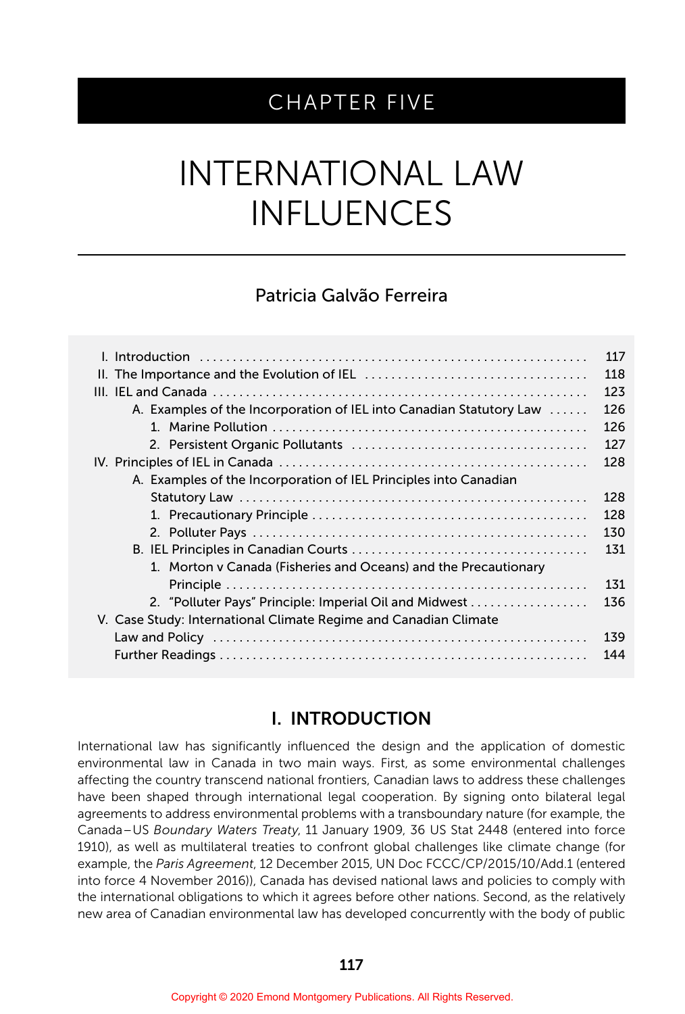# CHAPTER FIVE

# INTERNATIONAL LAW INFLUENCES

# Patricia Galvão Ferreira

|                                                                     | 117 |
|---------------------------------------------------------------------|-----|
|                                                                     | 118 |
|                                                                     | 123 |
| A. Examples of the Incorporation of IEL into Canadian Statutory Law | 126 |
|                                                                     | 126 |
|                                                                     | 127 |
|                                                                     | 128 |
| A. Examples of the Incorporation of IEL Principles into Canadian    |     |
|                                                                     | 128 |
|                                                                     | 128 |
|                                                                     | 130 |
|                                                                     | 131 |
| 1. Morton v Canada (Fisheries and Oceans) and the Precautionary     |     |
|                                                                     | 131 |
| 2. "Polluter Pays" Principle: Imperial Oil and Midwest              | 136 |
| V. Case Study: International Climate Regime and Canadian Climate    |     |
|                                                                     | 139 |
|                                                                     | 144 |
|                                                                     |     |

# I. INTRODUCTION

International law has significantly influenced the design and the application of domestic environmental law in Canada in two main ways. First, as some environmental challenges affecting the country transcend national frontiers, Canadian laws to address these challenges have been shaped through international legal cooperation. By signing onto bilateral legal agreements to address environmental problems with a transboundary nature (for example, the Canada–US *Boundary Waters Treaty*, 11 January 1909, 36 US Stat 2448 (entered into force 1910), as well as multilateral treaties to confront global challenges like climate change (for example, the *Paris Agreement*, 12 December 2015, UN Doc FCCC/CP/2015/10/Add.1 (entered into force 4 November 2016)), Canada has devised national laws and policies to comply with the international obligations to which it agrees before other nations. Second, as the relatively new area of Canadian environmental law has developed concurrently with the body of public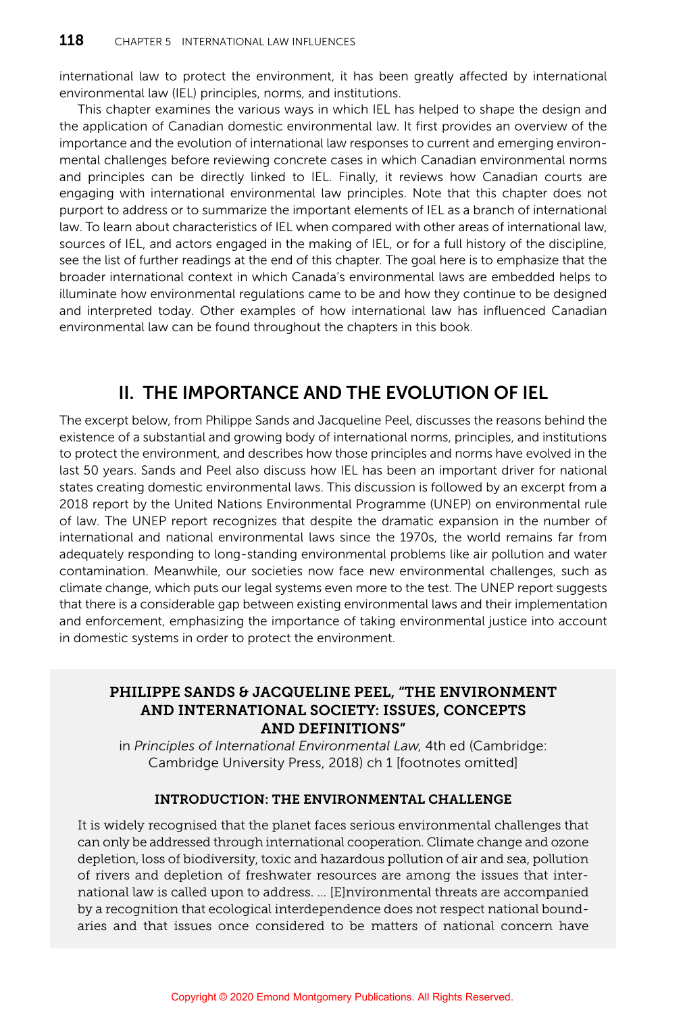international law to protect the environment, it has been greatly affected by international environmental law (IEL) principles, norms, and institutions.

This chapter examines the various ways in which IEL has helped to shape the design and the application of Canadian domestic environmental law. It first provides an overview of the importance and the evolution of international law responses to current and emerging environmental challenges before reviewing concrete cases in which Canadian environmental norms and principles can be directly linked to IEL. Finally, it reviews how Canadian courts are engaging with international environmental law principles. Note that this chapter does not purport to address or to summarize the important elements of IEL as a branch of international law. To learn about characteristics of IEL when compared with other areas of international law, sources of IEL, and actors engaged in the making of IEL, or for a full history of the discipline, see the list of further readings at the end of this chapter. The goal here is to emphasize that the broader international context in which Canada's environmental laws are embedded helps to illuminate how environmental regulations came to be and how they continue to be designed and interpreted today. Other examples of how international law has influenced Canadian environmental law can be found throughout the chapters in this book.

# II. THE IMPORTANCE AND THE EVOLUTION OF IEL

The excerpt below, from Philippe Sands and Jacqueline Peel, discusses the reasons behind the existence of a substantial and growing body of international norms, principles, and institutions to protect the environment, and describes how those principles and norms have evolved in the last 50 years. Sands and Peel also discuss how IEL has been an important driver for national states creating domestic environmental laws. This discussion is followed by an excerpt from a 2018 report by the United Nations Environmental Programme (UNEP) on environmental rule of law. The UNEP report recognizes that despite the dramatic expansion in the number of international and national environmental laws since the 1970s, the world remains far from adequately responding to long-standing environmental problems like air pollution and water contamination. Meanwhile, our societies now face new environmental challenges, such as climate change, which puts our legal systems even more to the test. The UNEP report suggests that there is a considerable gap between existing environmental laws and their implementation and enforcement, emphasizing the importance of taking environmental justice into account in domestic systems in order to protect the environment.

# PHILIPPE SANDS & JACQUELINE PEEL, "THE ENVIRONMENT AND INTERNATIONAL SOCIETY: ISSUES, CONCEPTS AND DEFINITIONS"

in *Principles of International Environmental Law*, 4th ed (Cambridge: Cambridge University Press, 2018) ch 1 [footnotes omitted]

## INTRODUCTION: THE ENVIRONMENTAL CHALLENGE

It is widely recognised that the planet faces serious environmental challenges that can only be addressed through international cooperation. Climate change and ozone depletion, loss of biodiversity, toxic and hazardous pollution of air and sea, pollution of rivers and depletion of freshwater resources are among the issues that international law is called upon to address. … [E]nvironmental threats are accompanied by a recognition that ecological interdependence does not respect national boundaries and that issues once considered to be matters of national concern have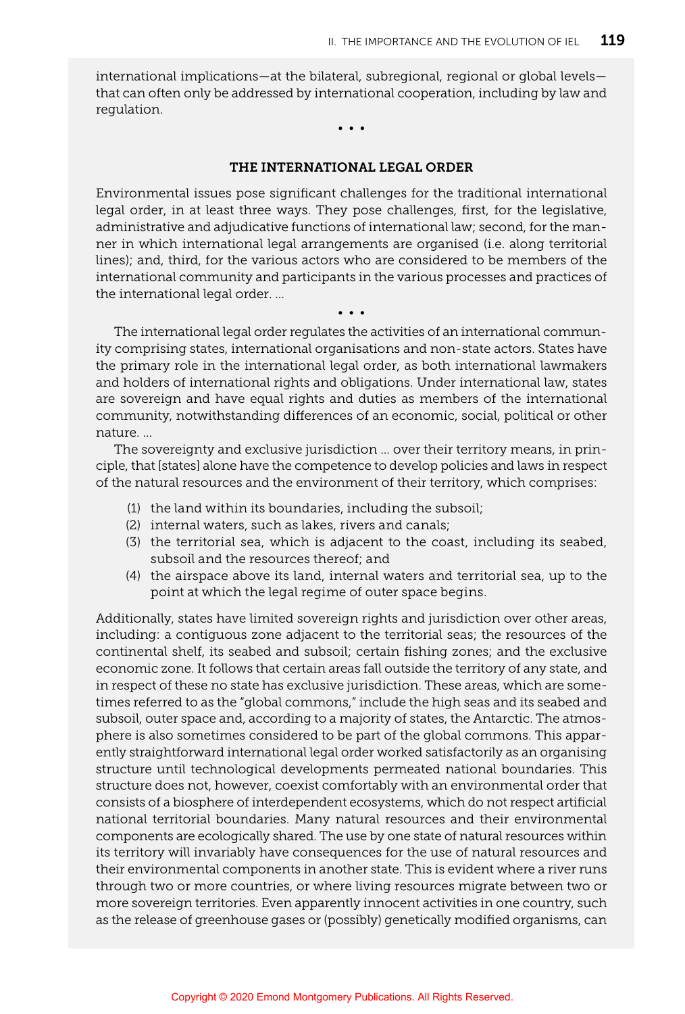international implications—at the bilateral, subregional, regional or global levels that can often only be addressed by international cooperation, including by law and regulation.

• • •

#### THE INTERNATIONAL LEGAL ORDER

Environmental issues pose significant challenges for the traditional international legal order, in at least three ways. They pose challenges, first, for the legislative, administrative and adjudicative functions of international law; second, for the manner in which international legal arrangements are organised (i.e. along territorial lines); and, third, for the various actors who are considered to be members of the international community and participants in the various processes and practices of the international legal order. …

• • •

The international legal order regulates the activities of an international community comprising states, international organisations and non-state actors. States have the primary role in the international legal order, as both international lawmakers and holders of international rights and obligations. Under international law, states are sovereign and have equal rights and duties as members of the international community, notwithstanding differences of an economic, social, political or other nature. …

The sovereignty and exclusive jurisdiction … over their territory means, in principle, that [states] alone have the competence to develop policies and laws in respect of the natural resources and the environment of their territory, which comprises:

- (1) the land within its boundaries, including the subsoil;
- (2) internal waters, such as lakes, rivers and canals;
- (3) the territorial sea, which is adjacent to the coast, including its seabed, subsoil and the resources thereof; and
- (4) the airspace above its land, internal waters and territorial sea, up to the point at which the legal regime of outer space begins.

Additionally, states have limited sovereign rights and jurisdiction over other areas, including: a contiguous zone adjacent to the territorial seas; the resources of the continental shelf, its seabed and subsoil; certain fishing zones; and the exclusive economic zone. It follows that certain areas fall outside the territory of any state, and in respect of these no state has exclusive jurisdiction. These areas, which are sometimes referred to as the "global commons," include the high seas and its seabed and subsoil, outer space and, according to a majority of states, the Antarctic. The atmosphere is also sometimes considered to be part of the global commons. This apparently straightforward international legal order worked satisfactorily as an organising structure until technological developments permeated national boundaries. This structure does not, however, coexist comfortably with an environmental order that consists of a biosphere of interdependent ecosystems, which do not respect artificial national territorial boundaries. Many natural resources and their environmental components are ecologically shared. The use by one state of natural resources within its territory will invariably have consequences for the use of natural resources and their environmental components in another state. This is evident where a river runs through two or more countries, or where living resources migrate between two or more sovereign territories. Even apparently innocent activities in one country, such as the release of greenhouse gases or (possibly) genetically modified organisms, can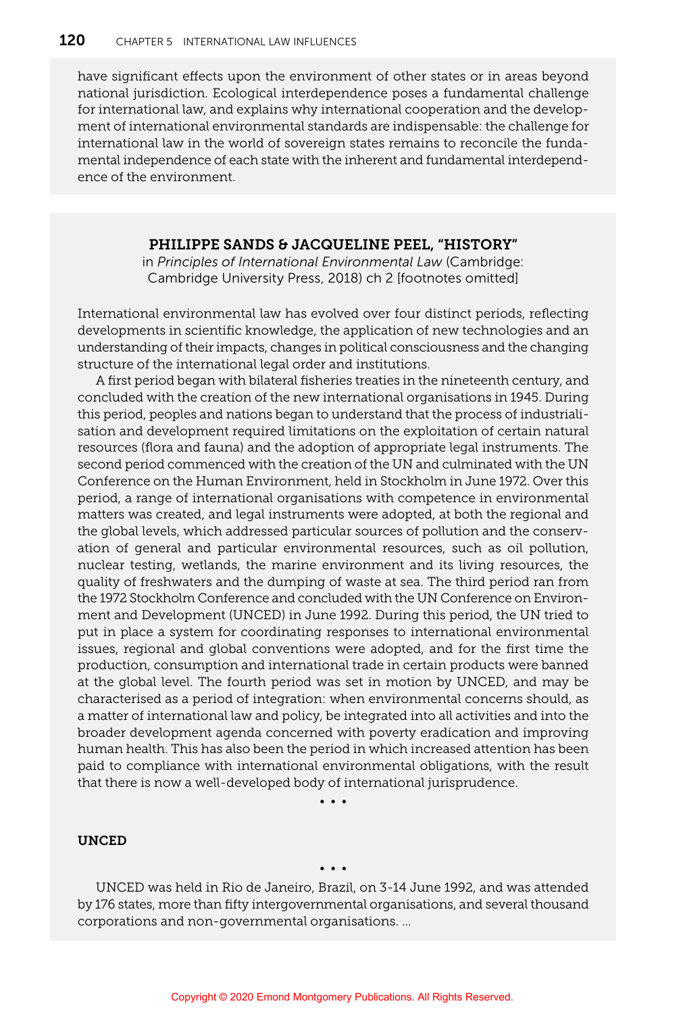have significant effects upon the environment of other states or in areas beyond national jurisdiction. Ecological interdependence poses a fundamental challenge for international law, and explains why international cooperation and the development of international environmental standards are indispensable: the challenge for international law in the world of sovereign states remains to reconcile the fundamental independence of each state with the inherent and fundamental interdependence of the environment.

### PHILIPPE SANDS & JACQUELINE PEEL, "HISTORY"

in *Principles of International Environmental Law* (Cambridge: Cambridge University Press, 2018) ch 2 [footnotes omitted]

International environmental law has evolved over four distinct periods, reflecting developments in scientific knowledge, the application of new technologies and an understanding of their impacts, changes in political consciousness and the changing structure of the international legal order and institutions.

A first period began with bilateral fisheries treaties in the nineteenth century, and concluded with the creation of the new international organisations in 1945. During this period, peoples and nations began to understand that the process of industrialisation and development required limitations on the exploitation of certain natural resources (flora and fauna) and the adoption of appropriate legal instruments. The second period commenced with the creation of the UN and culminated with the UN Conference on the Human Environment, held in Stockholm in June 1972. Over this period, a range of international organisations with competence in environmental matters was created, and legal instruments were adopted, at both the regional and the global levels, which addressed particular sources of pollution and the conservation of general and particular environmental resources, such as oil pollution, nuclear testing, wetlands, the marine environment and its living resources, the quality of freshwaters and the dumping of waste at sea. The third period ran from the 1972 Stockholm Conference and concluded with the UN Conference on Environment and Development (UNCED) in June 1992. During this period, the UN tried to put in place a system for coordinating responses to international environmental issues, regional and global conventions were adopted, and for the first time the production, consumption and international trade in certain products were banned at the global level. The fourth period was set in motion by UNCED, and may be characterised as a period of integration: when environmental concerns should, as a matter of international law and policy, be integrated into all activities and into the broader development agenda concerned with poverty eradication and improving human health. This has also been the period in which increased attention has been paid to compliance with international environmental obligations, with the result that there is now a well-developed body of international jurisprudence.

• • •

#### UNCED

• • •

UNCED was held in Rio de Janeiro, Brazil, on 3-14 June 1992, and was attended by 176 states, more than fifty intergovernmental organisations, and several thousand corporations and non-governmental organisations. …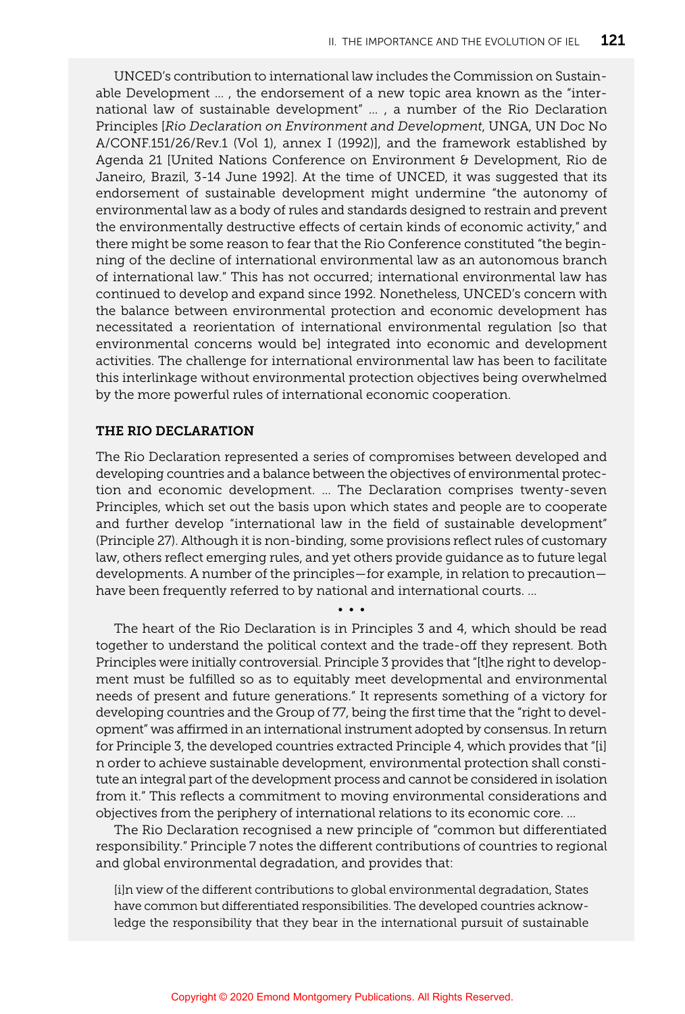UNCED's contribution to international law includes the Commission on Sustainable Development … , the endorsement of a new topic area known as the "international law of sustainable development" … , a number of the Rio Declaration Principles [*Rio Declaration on Environment and Development*, UNGA, UN Doc No A/CONF.151/26/Rev.1 (Vol 1), annex I (1992)], and the framework established by Agenda 21 [United Nations Conference on Environment & Development, Rio de Janeiro, Brazil, 3-14 June 1992]. At the time of UNCED, it was suggested that its endorsement of sustainable development might undermine "the autonomy of environmental law as a body of rules and standards designed to restrain and prevent the environmentally destructive effects of certain kinds of economic activity," and there might be some reason to fear that the Rio Conference constituted "the beginning of the decline of international environmental law as an autonomous branch of international law." This has not occurred; international environmental law has continued to develop and expand since 1992. Nonetheless, UNCED's concern with the balance between environmental protection and economic development has necessitated a reorientation of international environmental regulation [so that environmental concerns would be] integrated into economic and development activities. The challenge for international environmental law has been to facilitate this interlinkage without environmental protection objectives being overwhelmed by the more powerful rules of international economic cooperation.

#### THE RIO DECLARATION

The Rio Declaration represented a series of compromises between developed and developing countries and a balance between the objectives of environmental protection and economic development. … The Declaration comprises twenty-seven Principles, which set out the basis upon which states and people are to cooperate and further develop "international law in the field of sustainable development" (Principle 27). Although it is non-binding, some provisions reflect rules of customary law, others reflect emerging rules, and yet others provide guidance as to future legal developments. A number of the principles—for example, in relation to precaution have been frequently referred to by national and international courts. …

• • •

The heart of the Rio Declaration is in Principles 3 and 4, which should be read together to understand the political context and the trade-off they represent. Both Principles were initially controversial. Principle 3 provides that "[t]he right to development must be fulfilled so as to equitably meet developmental and environmental needs of present and future generations." It represents something of a victory for developing countries and the Group of 77, being the first time that the "right to development" was affirmed in an international instrument adopted by consensus. In return for Principle 3, the developed countries extracted Principle 4, which provides that "[i] n order to achieve sustainable development, environmental protection shall constitute an integral part of the development process and cannot be considered in isolation from it." This reflects a commitment to moving environmental considerations and objectives from the periphery of international relations to its economic core. …

The Rio Declaration recognised a new principle of "common but differentiated responsibility." Principle 7 notes the different contributions of countries to regional and global environmental degradation, and provides that:

[i]n view of the different contributions to global environmental degradation, States have common but differentiated responsibilities. The developed countries acknowledge the responsibility that they bear in the international pursuit of sustainable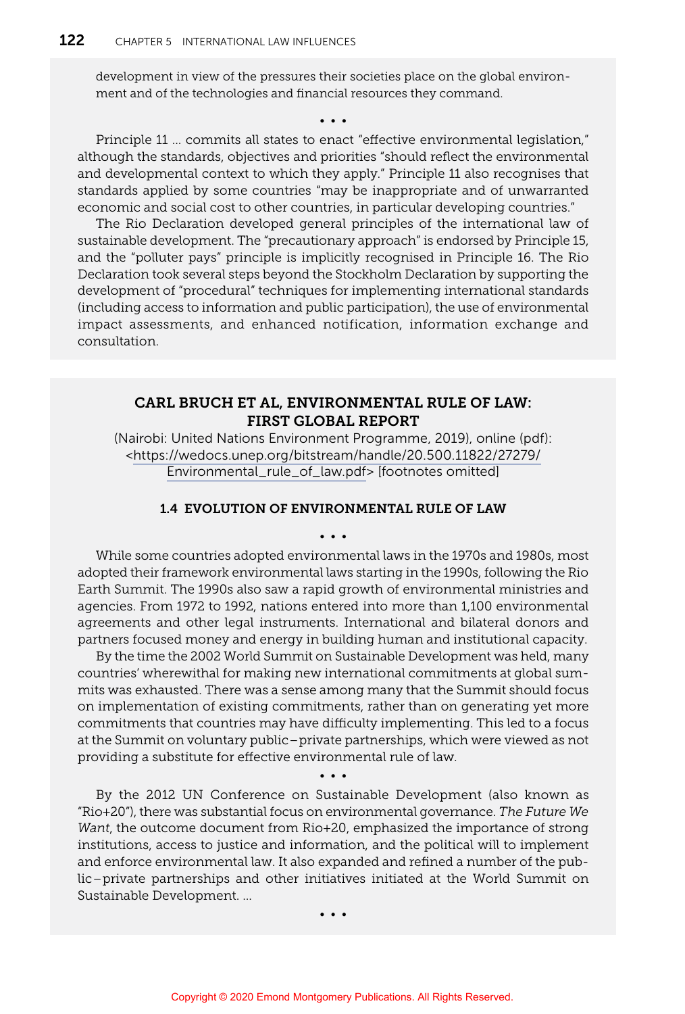development in view of the pressures their societies place on the global environment and of the technologies and financial resources they command.

• • •

Principle 11 … commits all states to enact "effective environmental legislation," although the standards, objectives and priorities "should reflect the environmental and developmental context to which they apply." Principle 11 also recognises that standards applied by some countries "may be inappropriate and of unwarranted economic and social cost to other countries, in particular developing countries."

The Rio Declaration developed general principles of the international law of sustainable development. The "precautionary approach" is endorsed by Principle 15, and the "polluter pays" principle is implicitly recognised in Principle 16. The Rio Declaration took several steps beyond the Stockholm Declaration by supporting the development of "procedural" techniques for implementing international standards (including access to information and public participation), the use of environmental impact assessments, and enhanced notification, information exchange and consultation.

# CARL BRUCH ET AL, ENVIRONMENTAL RULE OF LAW: FIRST GLOBAL REPORT

(Nairobi: United Nations Environment Programme, 2019), online (pdf): <[https://wedocs.unep.org/bitstream/handle/20.500.11822/27279/](https://wedocs.unep.org/bitstream/handle/20.500.11822/27279/Environmental_rule_of_law.pdf) [Environmental\\_rule\\_of\\_law.pdf>](https://wedocs.unep.org/bitstream/handle/20.500.11822/27279/Environmental_rule_of_law.pdf) [footnotes omitted]

# 1.4 EVOLUTION OF ENVIRONMENTAL RULE OF LAW • • •

While some countries adopted environmental laws in the 1970s and 1980s, most adopted their framework environmental laws starting in the 1990s, following the Rio Earth Summit. The 1990s also saw a rapid growth of environmental ministries and agencies. From 1972 to 1992, nations entered into more than 1,100 environmental agreements and other legal instruments. International and bilateral donors and partners focused money and energy in building human and institutional capacity.

By the time the 2002 World Summit on Sustainable Development was held, many countries' wherewithal for making new international commitments at global summits was exhausted. There was a sense among many that the Summit should focus on implementation of existing commitments, rather than on generating yet more commitments that countries may have difficulty implementing. This led to a focus at the Summit on voluntary public–private partnerships, which were viewed as not providing a substitute for effective environmental rule of law.

• • •

By the 2012 UN Conference on Sustainable Development (also known as "Rio+20"), there was substantial focus on environmental governance. *The Future We Want*, the outcome document from Rio+20, emphasized the importance of strong institutions, access to justice and information, and the political will to implement and enforce environmental law. It also expanded and refined a number of the public–private partnerships and other initiatives initiated at the World Summit on Sustainable Development. …

• • •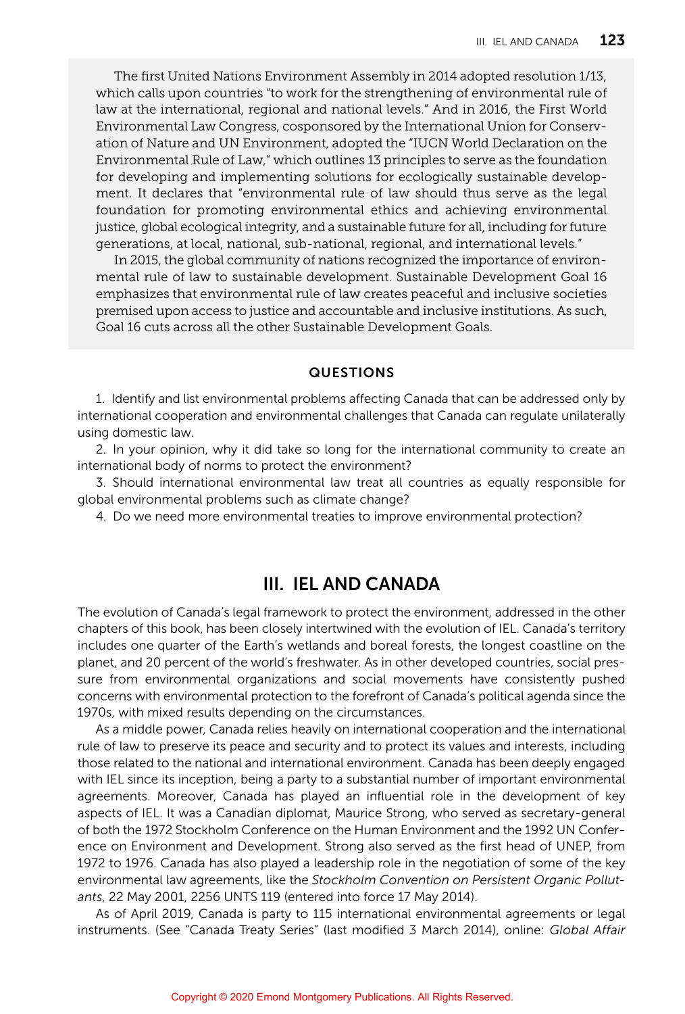The first United Nations Environment Assembly in 2014 adopted resolution 1/13, which calls upon countries "to work for the strengthening of environmental rule of law at the international, regional and national levels." And in 2016, the First World Environmental Law Congress, cosponsored by the International Union for Conservation of Nature and UN Environment, adopted the "IUCN World Declaration on the Environmental Rule of Law," which outlines 13 principles to serve as the foundation for developing and implementing solutions for ecologically sustainable development. It declares that "environmental rule of law should thus serve as the legal foundation for promoting environmental ethics and achieving environmental justice, global ecological integrity, and a sustainable future for all, including for future generations, at local, national, sub-national, regional, and international levels."

In 2015, the global community of nations recognized the importance of environmental rule of law to sustainable development. Sustainable Development Goal 16 emphasizes that environmental rule of law creates peaceful and inclusive societies premised upon access to justice and accountable and inclusive institutions. As such, Goal 16 cuts across all the other Sustainable Development Goals.

### **QUESTIONS**

1. Identify and list environmental problems affecting Canada that can be addressed only by international cooperation and environmental challenges that Canada can regulate unilaterally using domestic law.

2. In your opinion, why it did take so long for the international community to create an international body of norms to protect the environment?

3. Should international environmental law treat all countries as equally responsible for global environmental problems such as climate change?

4. Do we need more environmental treaties to improve environmental protection?

# III. IEL AND CANADA

The evolution of Canada's legal framework to protect the environment, addressed in the other chapters of this book, has been closely intertwined with the evolution of IEL. Canada's territory includes one quarter of the Earth's wetlands and boreal forests, the longest coastline on the planet, and 20 percent of the world's freshwater. As in other developed countries, social pressure from environmental organizations and social movements have consistently pushed concerns with environmental protection to the forefront of Canada's political agenda since the 1970s, with mixed results depending on the circumstances.

As a middle power, Canada relies heavily on international cooperation and the international rule of law to preserve its peace and security and to protect its values and interests, including those related to the national and international environment. Canada has been deeply engaged with IEL since its inception, being a party to a substantial number of important environmental agreements. Moreover, Canada has played an influential role in the development of key aspects of IEL. It was a Canadian diplomat, Maurice Strong, who served as secretary-general of both the 1972 Stockholm Conference on the Human Environment and the 1992 UN Conference on Environment and Development. Strong also served as the first head of UNEP, from 1972 to 1976. Canada has also played a leadership role in the negotiation of some of the key environmental law agreements, like the *Stockholm Convention on Persistent Organic Pollutants*, 22 May 2001, 2256 UNTS 119 (entered into force 17 May 2014).

As of April 2019, Canada is party to 115 international environmental agreements or legal instruments. (See "Canada Treaty Series" (last modified 3 March 2014), online: *Global Affair*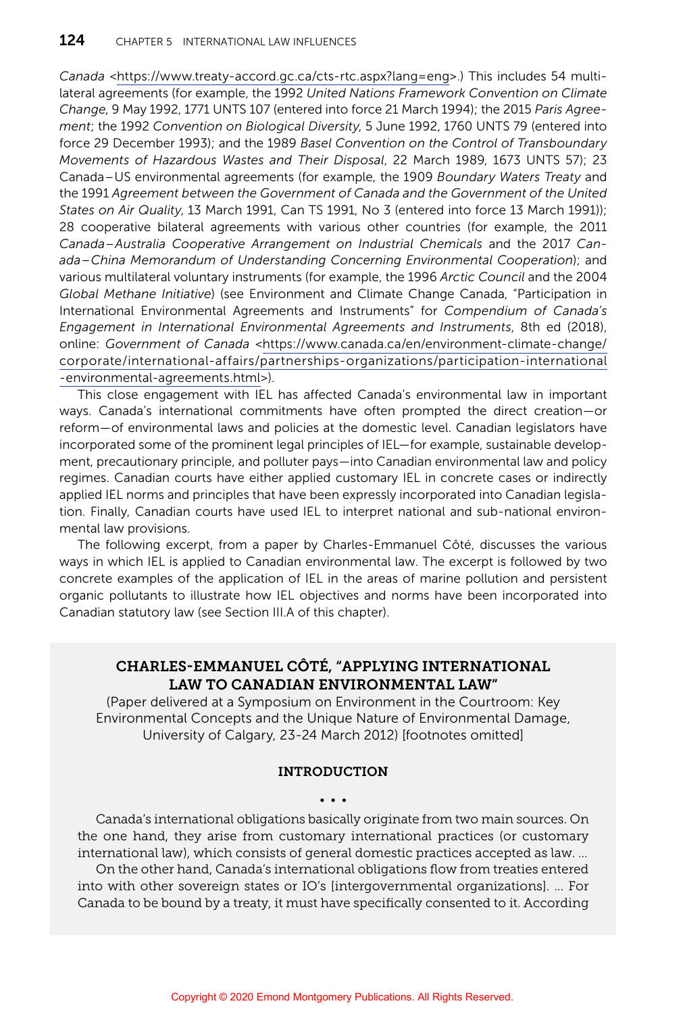*Canada* <<https://www.treaty-accord.gc.ca/cts-rtc.aspx?lang=eng>>.) This includes 54 multilateral agreements (for example, the 1992 *United Nations Framework Convention on Climate Change*, 9 May 1992, 1771 UNTS 107 (entered into force 21 March 1994); the 2015 *Paris Agreement*; the 1992 *Convention on Biological Diversity*, 5 June 1992, 1760 UNTS 79 (entered into force 29 December 1993); and the 1989 *Basel Convention on the Control of Transboundary Movements of Hazardous Wastes and Their Disposal*, 22 March 1989, 1673 UNTS 57); 23 Canada–US environmental agreements (for example, the 1909 *Boundary Waters Treaty* and the 1991 *Agreement between the Government of Canada and the Government of the United States on Air Quality*, 13 March 1991, Can TS 1991, No 3 (entered into force 13 March 1991)); 28 cooperative bilateral agreements with various other countries (for example, the 2011 *Canada–Australia Cooperative Arrangement on Industrial Chemicals* and the 2017 *Canada–China Memorandum of Understanding Concerning Environmental Cooperation*); and various multilateral voluntary instruments (for example, the 1996 *Arctic Council* and the 2004 *Global Methane Initiative*) (see Environment and Climate Change Canada, "Participation in International Environmental Agreements and Instruments" for *Compendium of Canada's Engagement in International Environmental Agreements and Instruments*, 8th ed (2018), online: *Government of Canada* <[https://www.canada.ca/en/environment-climate-change/](https://www.canada.ca/en/environment-climate-change/corporate/international-affairs/partnerships-organizations/participation-international-environmental-agreements.html) [corporate/international-affairs/partnerships-organizations/participation-international](https://www.canada.ca/en/environment-climate-change/corporate/international-affairs/partnerships-organizations/participation-international-environmental-agreements.html) [-environmental-agreements.html](https://www.canada.ca/en/environment-climate-change/corporate/international-affairs/partnerships-organizations/participation-international-environmental-agreements.html)>).

This close engagement with IEL has affected Canada's environmental law in important ways. Canada's international commitments have often prompted the direct creation—or reform—of environmental laws and policies at the domestic level. Canadian legislators have incorporated some of the prominent legal principles of IEL—for example, sustainable development, precautionary principle, and polluter pays—into Canadian environmental law and policy regimes. Canadian courts have either applied customary IEL in concrete cases or indirectly applied IEL norms and principles that have been expressly incorporated into Canadian legislation. Finally, Canadian courts have used IEL to interpret national and sub-national environmental law provisions.

The following excerpt, from a paper by Charles-Emmanuel Côté, discusses the various ways in which IEL is applied to Canadian environmental law. The excerpt is followed by two concrete examples of the application of IEL in the areas of marine pollution and persistent organic pollutants to illustrate how IEL objectives and norms have been incorporated into Canadian statutory law (see Section III.A of this chapter).

# CHARLES-EMMANUEL CÔTÉ, "APPLYING INTERNATIONAL LAW TO CANADIAN ENVIRONMENTAL LAW"

(Paper delivered at a Symposium on Environment in the Courtroom: Key Environmental Concepts and the Unique Nature of Environmental Damage, University of Calgary, 23-24 March 2012) [footnotes omitted]

# INTRODUCTION • • •

Canada's international obligations basically originate from two main sources. On the one hand, they arise from customary international practices (or customary international law), which consists of general domestic practices accepted as law. …

On the other hand, Canada's international obligations flow from treaties entered into with other sovereign states or IO's [intergovernmental organizations]. … For Canada to be bound by a treaty, it must have specifically consented to it. According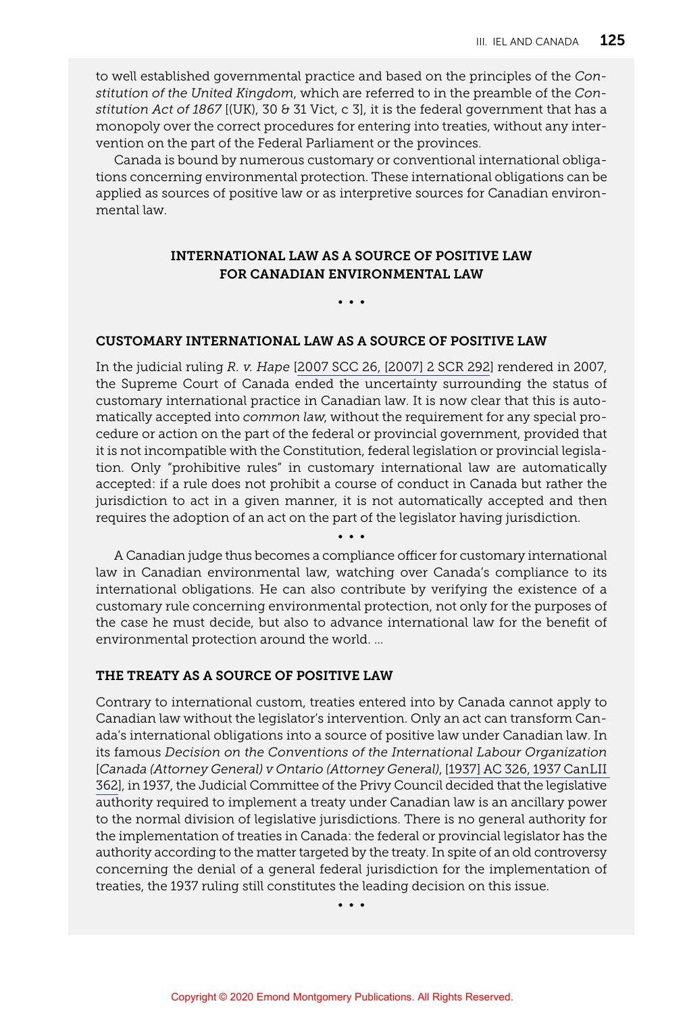to well established governmental practice and based on the principles of the *Constitution of the United Kingdom*, which are referred to in the preamble of the *Constitution Act of 1867* [(UK), 30 & 31 Vict, c 3], it is the federal government that has a monopoly over the correct procedures for entering into treaties, without any intervention on the part of the Federal Parliament or the provinces.

Canada is bound by numerous customary or conventional international obligations concerning environmental protection. These international obligations can be applied as sources of positive law or as interpretive sources for Canadian environmental law.

# INTERNATIONAL LAW AS A SOURCE OF POSITIVE LAW FOR CANADIAN ENVIRONMENTAL LAW

• • •

#### CUSTOMARY INTERNATIONAL LAW AS A SOURCE OF POSITIVE LAW

In the judicial ruling *R. v. Hape* [[2007 SCC 26, \[2007\] 2 SCR 292](http://canlii.ca/t/1rq5n)] rendered in 2007, the Supreme Court of Canada ended the uncertainty surrounding the status of customary international practice in Canadian law. It is now clear that this is automatically accepted into *common law*, without the requirement for any special procedure or action on the part of the federal or provincial government, provided that it is not incompatible with the Constitution, federal legislation or provincial legislation. Only "prohibitive rules" in customary international law are automatically accepted: if a rule does not prohibit a course of conduct in Canada but rather the jurisdiction to act in a given manner, it is not automatically accepted and then requires the adoption of an act on the part of the legislator having jurisdiction.

A Canadian judge thus becomes a compliance officer for customary international law in Canadian environmental law, watching over Canada's compliance to its international obligations. He can also contribute by verifying the existence of a customary rule concerning environmental protection, not only for the purposes of the case he must decide, but also to advance international law for the benefit of environmental protection around the world. …

• • •

#### THE TREATY AS A SOURCE OF POSITIVE LAW

Contrary to international custom, treaties entered into by Canada cannot apply to Canadian law without the legislator's intervention. Only an act can transform Canada's international obligations into a source of positive law under Canadian law. In its famous *Decision on the Conventions of the International Labour Organization* [*Canada (Attorney General) v Ontario (Attorney General)*, [\[1937\] AC 326, 1937 CanLII](http://canlii.ca/t/grlg9)  [362\]](http://canlii.ca/t/grlg9), in 1937, the Judicial Committee of the Privy Council decided that the legislative authority required to implement a treaty under Canadian law is an ancillary power to the normal division of legislative jurisdictions. There is no general authority for the implementation of treaties in Canada: the federal or provincial legislator has the authority according to the matter targeted by the treaty. In spite of an old controversy concerning the denial of a general federal jurisdiction for the implementation of treaties, the 1937 ruling still constitutes the leading decision on this issue.

• • •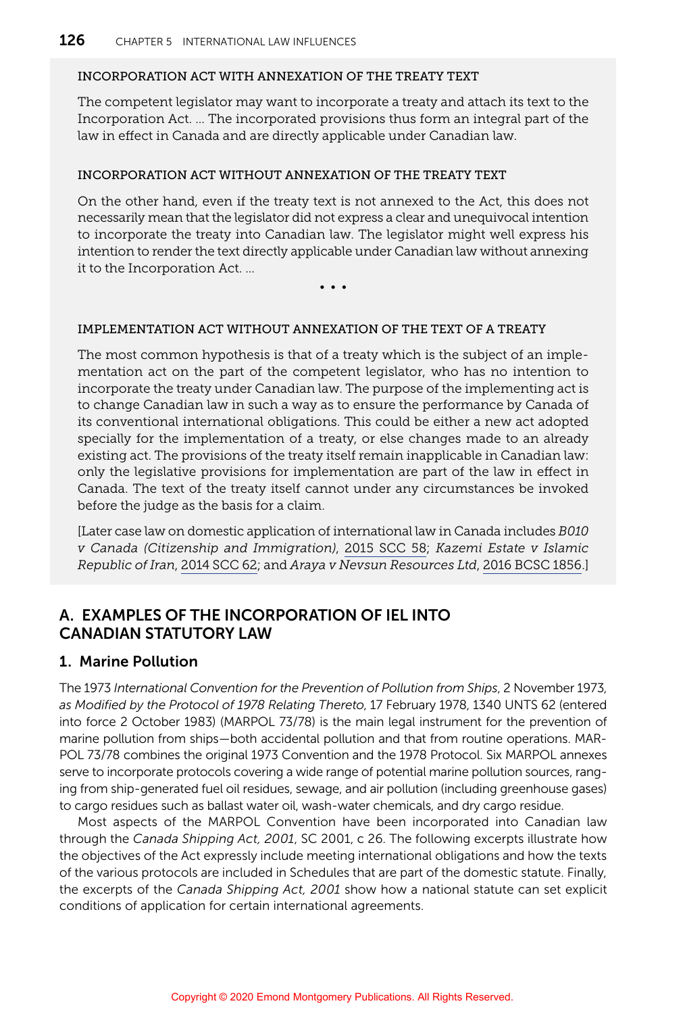### INCORPORATION ACT WITH ANNEXATION OF THE TREATY TEXT

The competent legislator may want to incorporate a treaty and attach its text to the Incorporation Act. … The incorporated provisions thus form an integral part of the law in effect in Canada and are directly applicable under Canadian law.

#### INCORPORATION ACT WITHOUT ANNEXATION OF THE TREATY TEXT

On the other hand, even if the treaty text is not annexed to the Act, this does not necessarily mean that the legislator did not express a clear and unequivocal intention to incorporate the treaty into Canadian law. The legislator might well express his intention to render the text directly applicable under Canadian law without annexing it to the Incorporation Act. …

• • •

#### IMPLEMENTATION ACT WITHOUT ANNEXATION OF THE TEXT OF A TREATY

The most common hypothesis is that of a treaty which is the subject of an implementation act on the part of the competent legislator, who has no intention to incorporate the treaty under Canadian law. The purpose of the implementing act is to change Canadian law in such a way as to ensure the performance by Canada of its conventional international obligations. This could be either a new act adopted specially for the implementation of a treaty, or else changes made to an already existing act. The provisions of the treaty itself remain inapplicable in Canadian law: only the legislative provisions for implementation are part of the law in effect in Canada. The text of the treaty itself cannot under any circumstances be invoked before the judge as the basis for a claim.

[Later case law on domestic application of international law in Canada includes *B010 v Canada (Citizenship and Immigration)*, [2015 SCC 58](http://canlii.ca/t/gm8wn); *Kazemi Estate v Islamic Republic of Iran*, [2014 SCC 62;](http://canlii.ca/t/gdwht) and *Araya v Nevsun Resources Ltd*, [2016 BCSC 1856](http://canlii.ca/t/gv11z).]

# A. EXAMPLES OF THE INCORPORATION OF IEL INTO CANADIAN STATUTORY LAW

### 1. Marine Pollution

The 1973 *International Convention for the Prevention of Pollution from Ships*, 2 November 1973, *as Modified by the Protocol of 1978 Relating Thereto*, 17 February 1978, 1340 UNTS 62 (entered into force 2 October 1983) (MARPOL 73/78) is the main legal instrument for the prevention of marine pollution from ships—both accidental pollution and that from routine operations. MAR-POL 73/78 combines the original 1973 Convention and the 1978 Protocol. Six MARPOL annexes serve to incorporate protocols covering a wide range of potential marine pollution sources, ranging from ship-generated fuel oil residues, sewage, and air pollution (including greenhouse gases) to cargo residues such as ballast water oil, wash-water chemicals, and dry cargo residue.

Most aspects of the MARPOL Convention have been incorporated into Canadian law through the *Canada Shipping Act, 2001*, SC 2001, c 26. The following excerpts illustrate how the objectives of the Act expressly include meeting international obligations and how the texts of the various protocols are included in Schedules that are part of the domestic statute. Finally, the excerpts of the *Canada Shipping Act, 2001* show how a national statute can set explicit conditions of application for certain international agreements.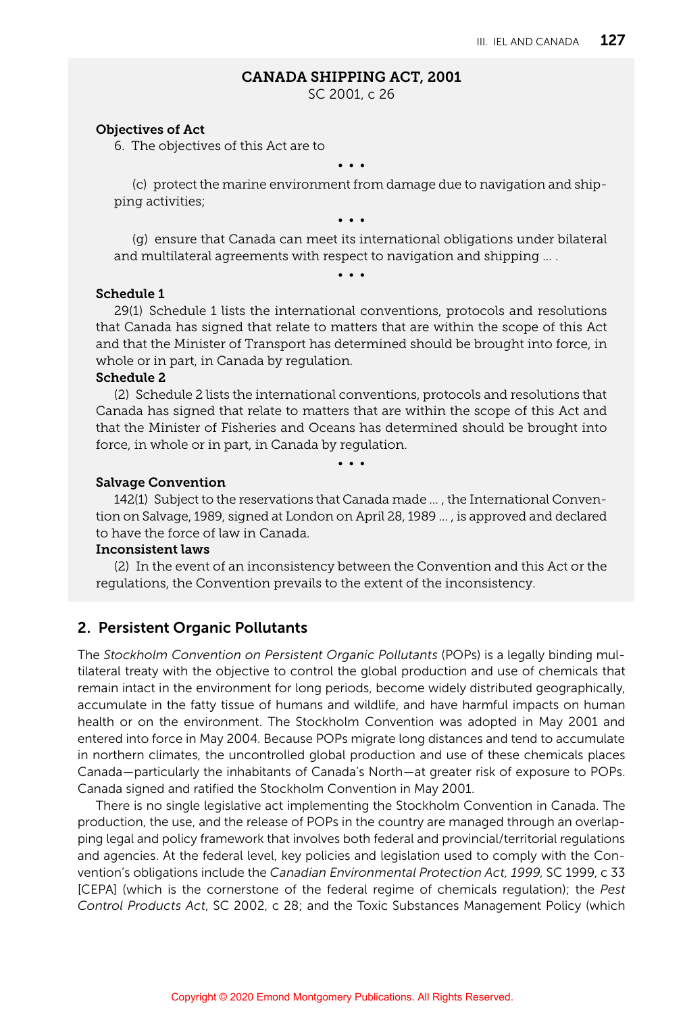#### CANADA SHIPPING ACT, 2001

SC 2001, c 26

#### Objectives of Act

6. The objectives of this Act are to

• • •

(c) protect the marine environment from damage due to navigation and shipping activities;

• • •

(g) ensure that Canada can meet its international obligations under bilateral and multilateral agreements with respect to navigation and shipping … .

• • •

#### Schedule 1

29(1) Schedule 1 lists the international conventions, protocols and resolutions that Canada has signed that relate to matters that are within the scope of this Act and that the Minister of Transport has determined should be brought into force, in whole or in part, in Canada by regulation.

#### Schedule 2

(2) Schedule 2 lists the international conventions, protocols and resolutions that Canada has signed that relate to matters that are within the scope of this Act and that the Minister of Fisheries and Oceans has determined should be brought into force, in whole or in part, in Canada by regulation.

• • •

#### Salvage Convention

142(1) Subject to the reservations that Canada made … , the International Convention on Salvage, 1989, signed at London on April 28, 1989 … , is approved and declared to have the force of law in Canada.

### Inconsistent laws

(2) In the event of an inconsistency between the Convention and this Act or the regulations, the Convention prevails to the extent of the inconsistency.

### 2. Persistent Organic Pollutants

The *Stockholm Convention on Persistent Organic Pollutants* (POPs) is a legally binding multilateral treaty with the objective to control the global production and use of chemicals that remain intact in the environment for long periods, become widely distributed geographically, accumulate in the fatty tissue of humans and wildlife, and have harmful impacts on human health or on the environment. The Stockholm Convention was adopted in May 2001 and entered into force in May 2004. Because POPs migrate long distances and tend to accumulate in northern climates, the uncontrolled global production and use of these chemicals places Canada—particularly the inhabitants of Canada's North—at greater risk of exposure to POPs. Canada signed and ratified the Stockholm Convention in May 2001.

There is no single legislative act implementing the Stockholm Convention in Canada. The production, the use, and the release of POPs in the country are managed through an overlapping legal and policy framework that involves both federal and provincial/territorial regulations and agencies. At the federal level, key policies and legislation used to comply with the Convention's obligations include the *Canadian Environmental Protection Act, 1999*, SC 1999, c 33 [CEPA] (which is the cornerstone of the federal regime of chemicals regulation); the *Pest Control Products Act*, SC 2002, c 28; and the Toxic Substances Management Policy (which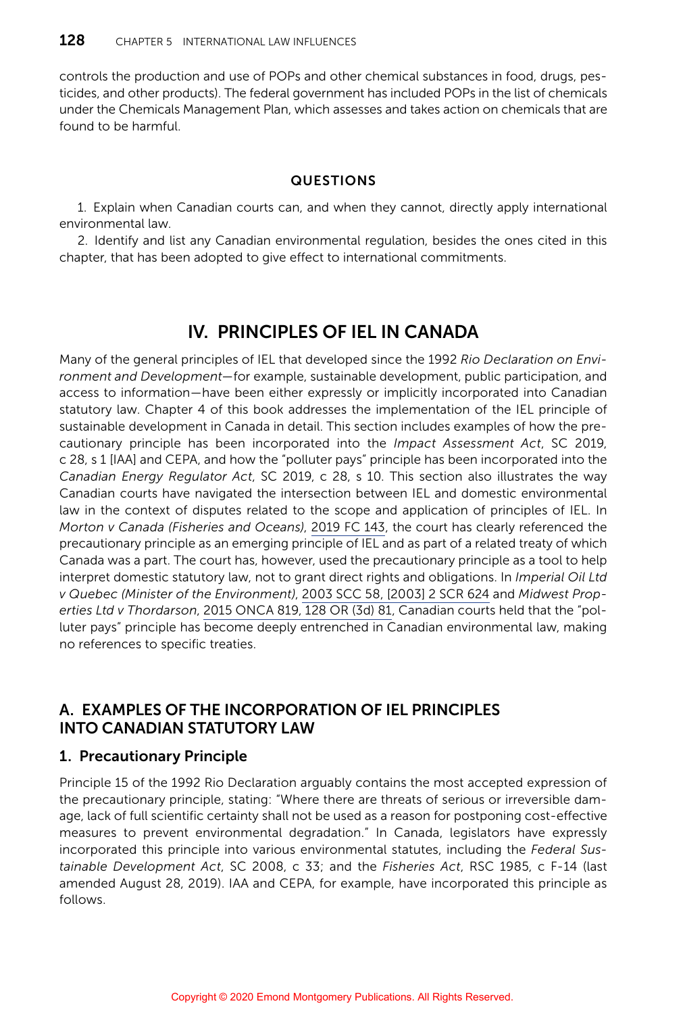controls the production and use of POPs and other chemical substances in food, drugs, pesticides, and other products). The federal government has included POPs in the list of chemicals under the Chemicals Management Plan, which assesses and takes action on chemicals that are found to be harmful.

### **QUESTIONS**

1. Explain when Canadian courts can, and when they cannot, directly apply international environmental law.

2. Identify and list any Canadian environmental regulation, besides the ones cited in this chapter, that has been adopted to give effect to international commitments.

# IV. PRINCIPLES OF IEL IN CANADA

Many of the general principles of IEL that developed since the 1992 *Rio Declaration on Environment and Development*—for example, sustainable development, public participation, and access to information—have been either expressly or implicitly incorporated into Canadian statutory law. Chapter 4 of this book addresses the implementation of the IEL principle of sustainable development in Canada in detail. This section includes examples of how the precautionary principle has been incorporated into the *Impact Assessment Act*, SC 2019, c 28, s 1 [IAA] and CEPA, and how the "polluter pays" principle has been incorporated into the *Canadian Energy Regulator Act*, SC 2019, c 28, s 10. This section also illustrates the way Canadian courts have navigated the intersection between IEL and domestic environmental law in the context of disputes related to the scope and application of principles of IEL. In *Morton v Canada (Fisheries and Oceans)*, [2019 FC 143](http://canlii.ca/t/hxlwp), the court has clearly referenced the precautionary principle as an emerging principle of IEL and as part of a related treaty of which Canada was a part. The court has, however, used the precautionary principle as a tool to help interpret domestic statutory law, not to grant direct rights and obligations. In *Imperial Oil Ltd v Quebec (Minister of the Environment)*, [2003 SCC 58, \[2003\] 2 SCR 624](http://canlii.ca/t/1g3lw) and *Midwest Properties Ltd v Thordarson*, [2015 ONCA 819, 128 OR \(3d\) 81,](http://canlii.ca/t/gm946) Canadian courts held that the "polluter pays" principle has become deeply entrenched in Canadian environmental law, making no references to specific treaties.

# A. EXAMPLES OF THE INCORPORATION OF IEL PRINCIPLES INTO CANADIAN STATUTORY LAW

# 1. Precautionary Principle

Principle 15 of the 1992 Rio Declaration arguably contains the most accepted expression of the precautionary principle, stating: "Where there are threats of serious or irreversible damage, lack of full scientific certainty shall not be used as a reason for postponing cost-effective measures to prevent environmental degradation." In Canada, legislators have expressly incorporated this principle into various environmental statutes, including the *Federal Sustainable Development Act*, SC 2008, c 33; and the *Fisheries Act*, RSC 1985, c F-14 (last amended August 28, 2019). IAA and CEPA, for example, have incorporated this principle as follows.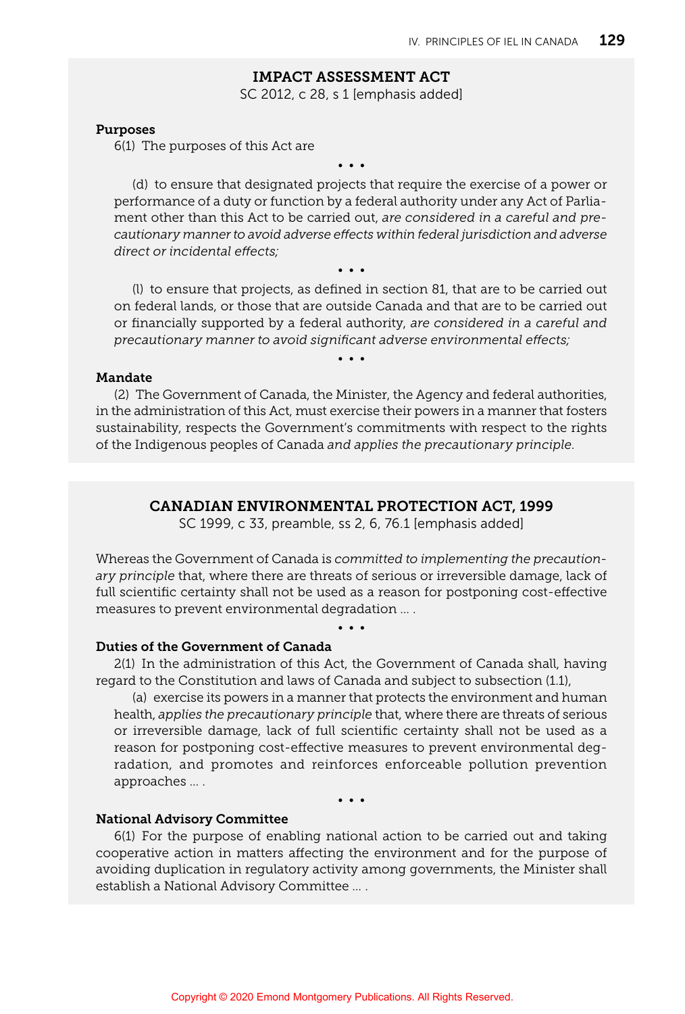#### IMPACT ASSESSMENT ACT

SC 2012, c 28, s 1 [emphasis added]

• • •

#### Purposes

6(1) The purposes of this Act are

(d) to ensure that designated projects that require the exercise of a power or performance of a duty or function by a federal authority under any Act of Parliament other than this Act to be carried out, *are considered in a careful and precautionary manner to avoid adverse effects within federal jurisdiction and adverse direct or incidental effects;*

• • •

(l) to ensure that projects, as defined in section 81, that are to be carried out on federal lands, or those that are outside Canada and that are to be carried out or financially supported by a federal authority, *are considered in a careful and precautionary manner to avoid significant adverse environmental effects;*

#### Mandate

(2) The Government of Canada, the Minister, the Agency and federal authorities, in the administration of this Act, must exercise their powers in a manner that fosters sustainability, respects the Government's commitments with respect to the rights of the Indigenous peoples of Canada *and applies the precautionary principle*.

• • •

#### CANADIAN ENVIRONMENTAL PROTECTION ACT, 1999

SC 1999, c 33, preamble, ss 2, 6, 76.1 [emphasis added]

Whereas the Government of Canada is *committed to implementing the precautionary principle* that, where there are threats of serious or irreversible damage, lack of full scientific certainty shall not be used as a reason for postponing cost-effective measures to prevent environmental degradation … .

#### • • •

#### Duties of the Government of Canada

2(1) In the administration of this Act, the Government of Canada shall, having regard to the Constitution and laws of Canada and subject to subsection (1.1),

(a) exercise its powers in a manner that protects the environment and human health, *applies the precautionary principle* that, where there are threats of serious or irreversible damage, lack of full scientific certainty shall not be used as a reason for postponing cost-effective measures to prevent environmental degradation, and promotes and reinforces enforceable pollution prevention approaches … .

• • •

#### National Advisory Committee

6(1) For the purpose of enabling national action to be carried out and taking cooperative action in matters affecting the environment and for the purpose of avoiding duplication in regulatory activity among governments, the Minister shall establish a National Advisory Committee … .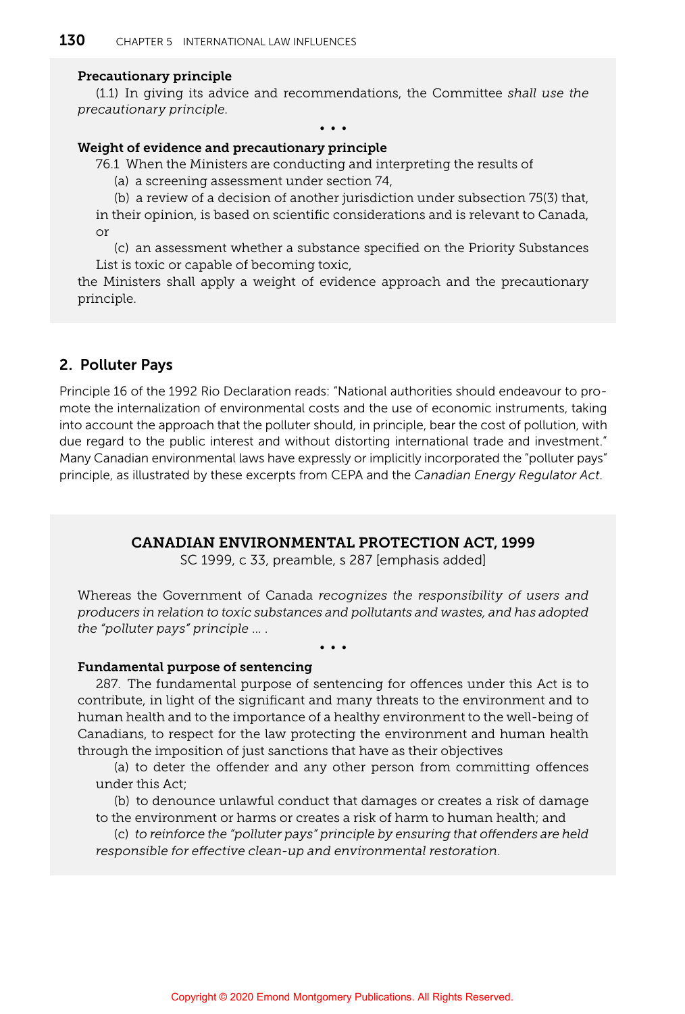#### Precautionary principle

(1.1) In giving its advice and recommendations, the Committee *shall use the precautionary principle*.

• • •

#### Weight of evidence and precautionary principle

76.1 When the Ministers are conducting and interpreting the results of

(a) a screening assessment under section 74,

(b) a review of a decision of another jurisdiction under subsection 75(3) that, in their opinion, is based on scientific considerations and is relevant to Canada, or

(c) an assessment whether a substance specified on the Priority Substances List is toxic or capable of becoming toxic,

the Ministers shall apply a weight of evidence approach and the precautionary principle.

### 2. Polluter Pays

Principle 16 of the 1992 Rio Declaration reads: "National authorities should endeavour to promote the internalization of environmental costs and the use of economic instruments, taking into account the approach that the polluter should, in principle, bear the cost of pollution, with due regard to the public interest and without distorting international trade and investment." Many Canadian environmental laws have expressly or implicitly incorporated the "polluter pays" principle, as illustrated by these excerpts from CEPA and the *Canadian Energy Regulator Act*.

#### CANADIAN ENVIRONMENTAL PROTECTION ACT, 1999

SC 1999, c 33, preamble, s 287 [emphasis added]

Whereas the Government of Canada *recognizes the responsibility of users and producers in relation to toxic substances and pollutants and wastes, and has adopted the "polluter pays" principle* … .

#### • • •

#### Fundamental purpose of sentencing

287. The fundamental purpose of sentencing for offences under this Act is to contribute, in light of the significant and many threats to the environment and to human health and to the importance of a healthy environment to the well-being of Canadians, to respect for the law protecting the environment and human health through the imposition of just sanctions that have as their objectives

(a) to deter the offender and any other person from committing offences under this Act;

(b) to denounce unlawful conduct that damages or creates a risk of damage to the environment or harms or creates a risk of harm to human health; and

(c) *to reinforce the "polluter pays" principle by ensuring that offenders are held responsible for effective clean-up and environmental restoration*.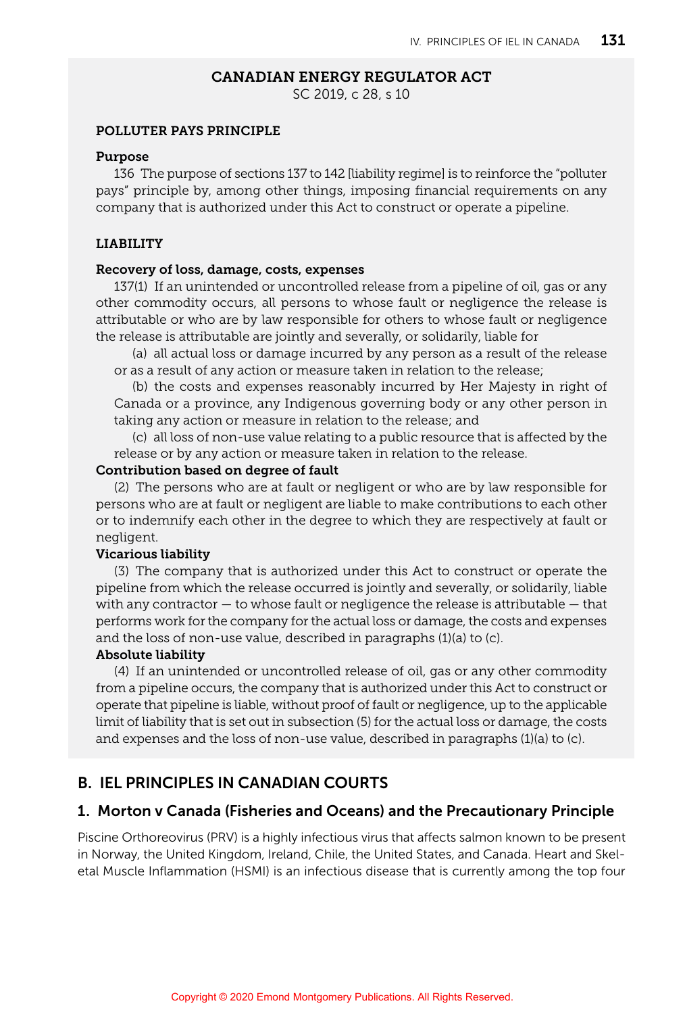### CANADIAN ENERGY REGULATOR ACT

SC 2019, c 28, s 10

#### POLLUTER PAYS PRINCIPLE

#### Purpose

136 The purpose of sections 137 to 142 [liability regime] is to reinforce the "polluter pays" principle by, among other things, imposing financial requirements on any company that is authorized under this Act to construct or operate a pipeline.

#### LIABILITY

#### Recovery of loss, damage, costs, expenses

137(1) If an unintended or uncontrolled release from a pipeline of oil, gas or any other commodity occurs, all persons to whose fault or negligence the release is attributable or who are by law responsible for others to whose fault or negligence the release is attributable are jointly and severally, or solidarily, liable for

(a) all actual loss or damage incurred by any person as a result of the release or as a result of any action or measure taken in relation to the release;

(b) the costs and expenses reasonably incurred by Her Majesty in right of Canada or a province, any Indigenous governing body or any other person in taking any action or measure in relation to the release; and

(c) all loss of non-use value relating to a public resource that is affected by the release or by any action or measure taken in relation to the release.

#### Contribution based on degree of fault

(2) The persons who are at fault or negligent or who are by law responsible for persons who are at fault or negligent are liable to make contributions to each other or to indemnify each other in the degree to which they are respectively at fault or negligent.

#### Vicarious liability

(3) The company that is authorized under this Act to construct or operate the pipeline from which the release occurred is jointly and severally, or solidarily, liable with any contractor — to whose fault or negligence the release is attributable — that performs work for the company for the actual loss or damage, the costs and expenses and the loss of non-use value, described in paragraphs (1)(a) to (c).

#### Absolute liability

(4) If an unintended or uncontrolled release of oil, gas or any other commodity from a pipeline occurs, the company that is authorized under this Act to construct or operate that pipeline is liable, without proof of fault or negligence, up to the applicable limit of liability that is set out in subsection (5) for the actual loss or damage, the costs and expenses and the loss of non-use value, described in paragraphs (1)(a) to (c).

# B. IEL PRINCIPLES IN CANADIAN COURTS

#### 1. Morton v Canada (Fisheries and Oceans) and the Precautionary Principle

Piscine Orthoreovirus (PRV) is a highly infectious virus that affects salmon known to be present in Norway, the United Kingdom, Ireland, Chile, the United States, and Canada. Heart and Skeletal Muscle Inflammation (HSMI) is an infectious disease that is currently among the top four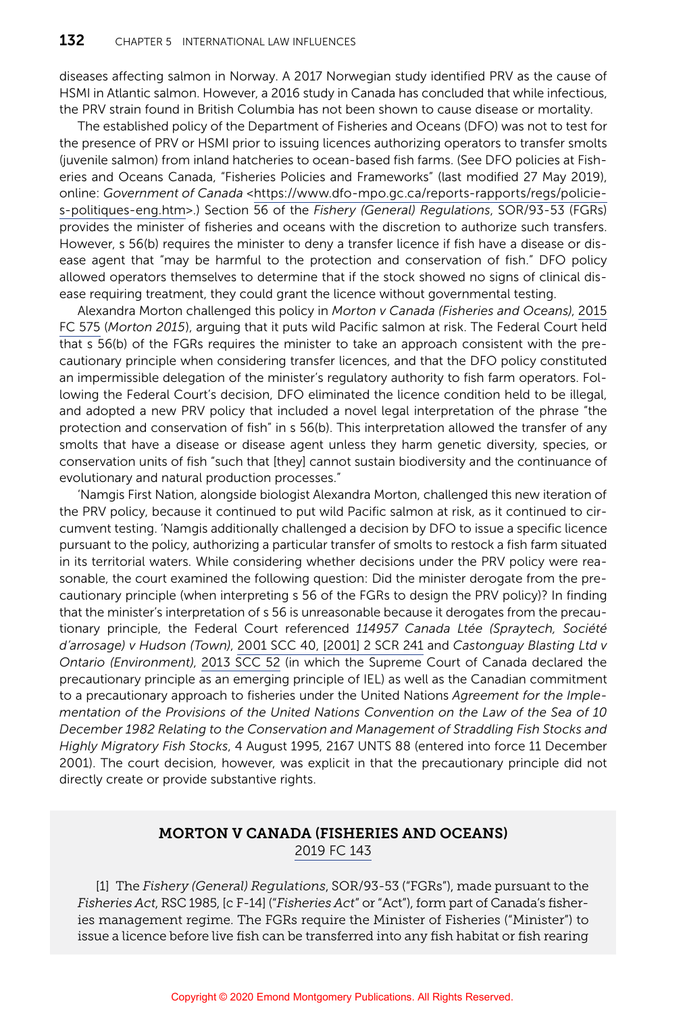diseases affecting salmon in Norway. A 2017 Norwegian study identified PRV as the cause of HSMI in Atlantic salmon. However, a 2016 study in Canada has concluded that while infectious, the PRV strain found in British Columbia has not been shown to cause disease or mortality.

The established policy of the Department of Fisheries and Oceans (DFO) was not to test for the presence of PRV or HSMI prior to issuing licences authorizing operators to transfer smolts (juvenile salmon) from inland hatcheries to ocean-based fish farms. (See DFO policies at Fisheries and Oceans Canada, "Fisheries Policies and Frameworks" (last modified 27 May 2019), online: *Government of Canada* <[https://www.dfo-mpo.gc.ca/reports-rapports/regs/policie](https://www.dfo-mpo.gc.ca/reports-rapports/regs/policies-politiques-eng.htm)[s-politiques-eng.htm](https://www.dfo-mpo.gc.ca/reports-rapports/regs/policies-politiques-eng.htm)>.) Section 56 of the *Fishery (General) Regulations*, SOR/93-53 (FGRs) provides the minister of fisheries and oceans with the discretion to authorize such transfers. However, s 56(b) requires the minister to deny a transfer licence if fish have a disease or disease agent that "may be harmful to the protection and conservation of fish." DFO policy allowed operators themselves to determine that if the stock showed no signs of clinical disease requiring treatment, they could grant the licence without governmental testing.

Alexandra Morton challenged this policy in *Morton v Canada (Fisheries and Oceans)*, [2015](http://canlii.ca/t/hxlwp) [FC 575](http://canlii.ca/t/hxlwp) (*Morton 2015*), arguing that it puts wild Pacific salmon at risk. The Federal Court held that s 56(b) of the FGRs requires the minister to take an approach consistent with the precautionary principle when considering transfer licences, and that the DFO policy constituted an impermissible delegation of the minister's regulatory authority to fish farm operators. Following the Federal Court's decision, DFO eliminated the licence condition held to be illegal, and adopted a new PRV policy that included a novel legal interpretation of the phrase "the protection and conservation of fish" in s 56(b). This interpretation allowed the transfer of any smolts that have a disease or disease agent unless they harm genetic diversity, species, or conservation units of fish "such that [they] cannot sustain biodiversity and the continuance of evolutionary and natural production processes."

'Namgis First Nation, alongside biologist Alexandra Morton, challenged this new iteration of the PRV policy, because it continued to put wild Pacific salmon at risk, as it continued to circumvent testing. 'Namgis additionally challenged a decision by DFO to issue a specific licence pursuant to the policy, authorizing a particular transfer of smolts to restock a fish farm situated in its territorial waters. While considering whether decisions under the PRV policy were reasonable, the court examined the following question: Did the minister derogate from the precautionary principle (when interpreting s 56 of the FGRs to design the PRV policy)? In finding that the minister's interpretation of s 56 is unreasonable because it derogates from the precautionary principle, the Federal Court referenced *114957 Canada Ltée (Spraytech, Société d'arrosage) v Hudson (Town)*, [2001 SCC 40, \[2001\] 2 SCR 241](http://canlii.ca/t/51zx) and *Castonguay Blasting Ltd v Ontario (Environment)*, [2013 SCC 52](http://canlii.ca/t/g1038) (in which the Supreme Court of Canada declared the precautionary principle as an emerging principle of IEL) as well as the Canadian commitment to a precautionary approach to fisheries under the United Nations *Agreement for the Implementation of the Provisions of the United Nations Convention on the Law of the Sea of 10 December 1982 Relating to the Conservation and Management of Straddling Fish Stocks and Highly Migratory Fish Stocks*, 4 August 1995, 2167 UNTS 88 (entered into force 11 December 2001). The court decision, however, was explicit in that the precautionary principle did not directly create or provide substantive rights.

# MORTON V CANADA (FISHERIES AND OCEANS) [2019 FC 143](http://canlii.ca/t/hxlwp)

[1] The *Fishery (General) Regulations*, SOR/93-53 ("FGRs"), made pursuant to the *Fisheries Act*, RSC 1985, [c F-14] ("*Fisheries Act*" or "Act"), form part of Canada's fisheries management regime. The FGRs require the Minister of Fisheries ("Minister") to issue a licence before live fish can be transferred into any fish habitat or fish rearing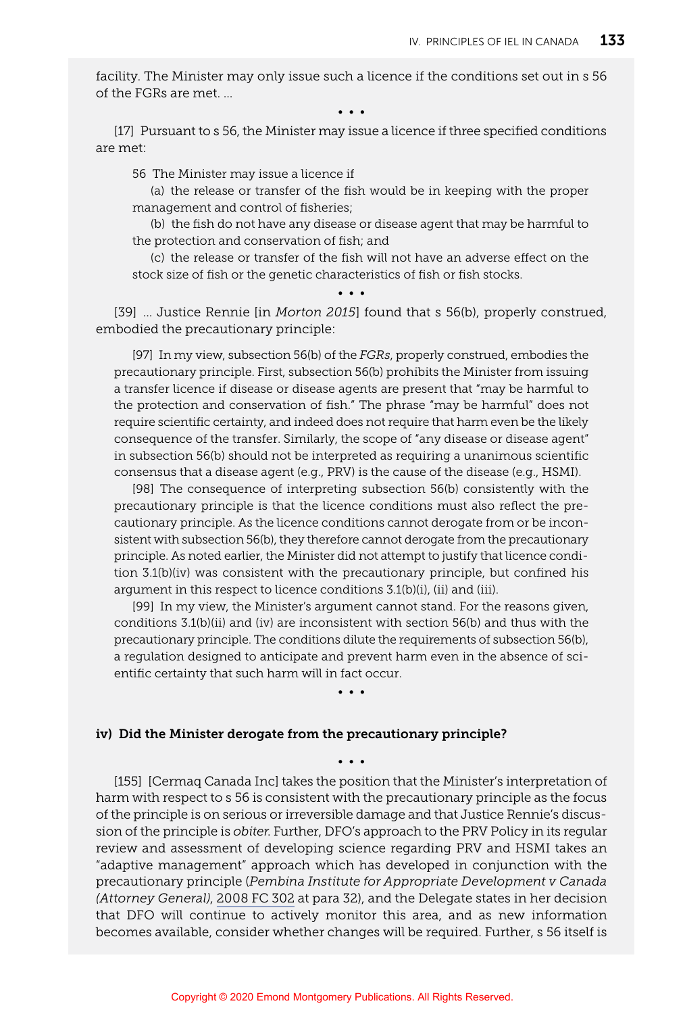facility. The Minister may only issue such a licence if the conditions set out in s 56 of the FGRs are met. …

• • •

[17] Pursuant to s 56, the Minister may issue a licence if three specified conditions are met:

56 The Minister may issue a licence if

(a) the release or transfer of the fish would be in keeping with the proper management and control of fisheries;

(b) the fish do not have any disease or disease agent that may be harmful to the protection and conservation of fish; and

(c) the release or transfer of the fish will not have an adverse effect on the stock size of fish or the genetic characteristics of fish or fish stocks.

• • •

[39] … Justice Rennie [in *Morton 2015*] found that s 56(b), properly construed, embodied the precautionary principle:

[97] In my view, subsection 56(b) of the *FGRs*, properly construed, embodies the precautionary principle. First, subsection 56(b) prohibits the Minister from issuing a transfer licence if disease or disease agents are present that "may be harmful to the protection and conservation of fish." The phrase "may be harmful" does not require scientific certainty, and indeed does not require that harm even be the likely consequence of the transfer. Similarly, the scope of "any disease or disease agent" in subsection 56(b) should not be interpreted as requiring a unanimous scientific consensus that a disease agent (e.g., PRV) is the cause of the disease (e.g., HSMI).

[98] The consequence of interpreting subsection 56(b) consistently with the precautionary principle is that the licence conditions must also reflect the precautionary principle. As the licence conditions cannot derogate from or be inconsistent with subsection 56(b), they therefore cannot derogate from the precautionary principle. As noted earlier, the Minister did not attempt to justify that licence condition 3.1(b)(iv) was consistent with the precautionary principle, but confined his argument in this respect to licence conditions 3.1(b)(i), (ii) and (iii).

[99] In my view, the Minister's argument cannot stand. For the reasons given, conditions 3.1(b)(ii) and (iv) are inconsistent with section 56(b) and thus with the precautionary principle. The conditions dilute the requirements of subsection 56(b), a regulation designed to anticipate and prevent harm even in the absence of scientific certainty that such harm will in fact occur.

• • •

#### iv) Did the Minister derogate from the precautionary principle?

• • •

[155] [Cermaq Canada Inc] takes the position that the Minister's interpretation of harm with respect to s 56 is consistent with the precautionary principle as the focus of the principle is on serious or irreversible damage and that Justice Rennie's discussion of the principle is *obiter*. Further, DFO's approach to the PRV Policy in its regular review and assessment of developing science regarding PRV and HSMI takes an "adaptive management" approach which has developed in conjunction with the precautionary principle (*Pembina Institute for Appropriate Development v Canada (Attorney General)*, [2008 FC 302](http://canlii.ca/t/1vxtx) at para 32), and the Delegate states in her decision that DFO will continue to actively monitor this area, and as new information becomes available, consider whether changes will be required. Further, s 56 itself is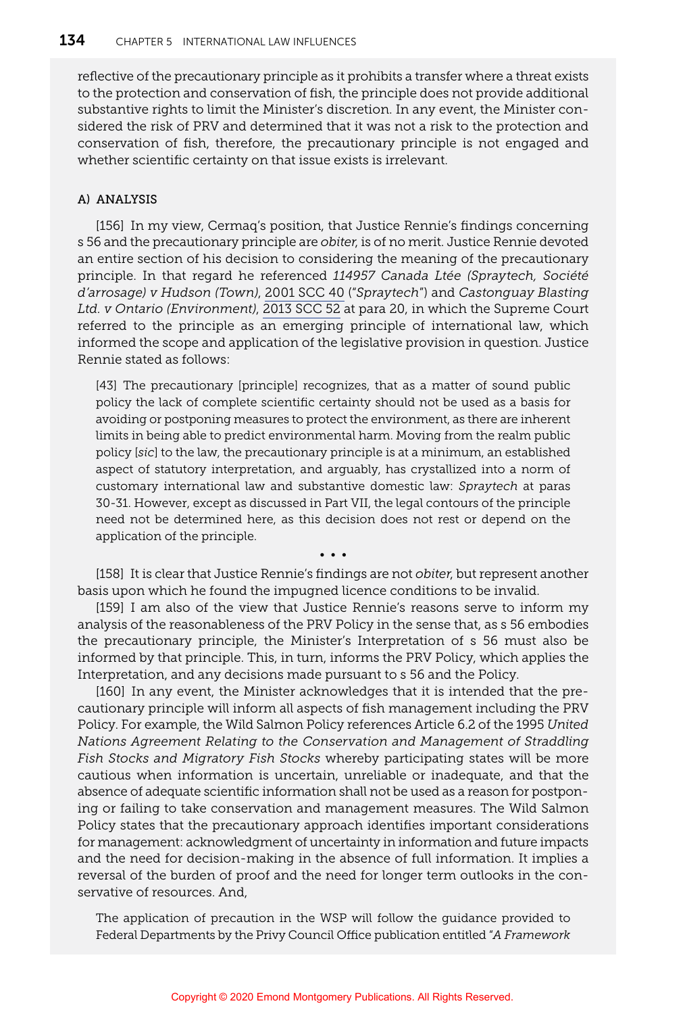reflective of the precautionary principle as it prohibits a transfer where a threat exists to the protection and conservation of fish, the principle does not provide additional substantive rights to limit the Minister's discretion. In any event, the Minister considered the risk of PRV and determined that it was not a risk to the protection and conservation of fish, therefore, the precautionary principle is not engaged and whether scientific certainty on that issue exists is irrelevant.

#### A) ANALYSIS

[156] In my view, Cermaq's position, that Justice Rennie's findings concerning s 56 and the precautionary principle are *obiter*, is of no merit. Justice Rennie devoted an entire section of his decision to considering the meaning of the precautionary principle. In that regard he referenced *114957 Canada Ltée (Spraytech, Société d'arrosage) v Hudson (Town)*, [2001 SCC 40](http://canlii.ca/t/51zx) ("*Spraytech*") and *Castonguay Blasting Ltd. v Ontario (Environment)*, [2013 SCC 52](http://canlii.ca/t/g1038) at para 20, in which the Supreme Court referred to the principle as an emerging principle of international law, which informed the scope and application of the legislative provision in question. Justice Rennie stated as follows:

[43] The precautionary [principle] recognizes, that as a matter of sound public policy the lack of complete scientific certainty should not be used as a basis for avoiding or postponing measures to protect the environment, as there are inherent limits in being able to predict environmental harm. Moving from the realm public policy [*sic*] to the law, the precautionary principle is at a minimum, an established aspect of statutory interpretation, and arguably, has crystallized into a norm of customary international law and substantive domestic law: *Spraytech* at paras 30-31. However, except as discussed in Part VII, the legal contours of the principle need not be determined here, as this decision does not rest or depend on the application of the principle.

• • •

[158] It is clear that Justice Rennie's findings are not *obiter*, but represent another basis upon which he found the impugned licence conditions to be invalid.

[159] I am also of the view that Justice Rennie's reasons serve to inform my analysis of the reasonableness of the PRV Policy in the sense that, as s 56 embodies the precautionary principle, the Minister's Interpretation of s 56 must also be informed by that principle. This, in turn, informs the PRV Policy, which applies the Interpretation, and any decisions made pursuant to s 56 and the Policy.

[160] In any event, the Minister acknowledges that it is intended that the precautionary principle will inform all aspects of fish management including the PRV Policy. For example, the Wild Salmon Policy references Article 6.2 of the 1995 *United Nations Agreement Relating to the Conservation and Management of Straddling Fish Stocks and Migratory Fish Stocks* whereby participating states will be more cautious when information is uncertain, unreliable or inadequate, and that the absence of adequate scientific information shall not be used as a reason for postponing or failing to take conservation and management measures. The Wild Salmon Policy states that the precautionary approach identifies important considerations for management: acknowledgment of uncertainty in information and future impacts and the need for decision-making in the absence of full information. It implies a reversal of the burden of proof and the need for longer term outlooks in the conservative of resources. And,

The application of precaution in the WSP will follow the guidance provided to Federal Departments by the Privy Council Office publication entitled "*A Framework*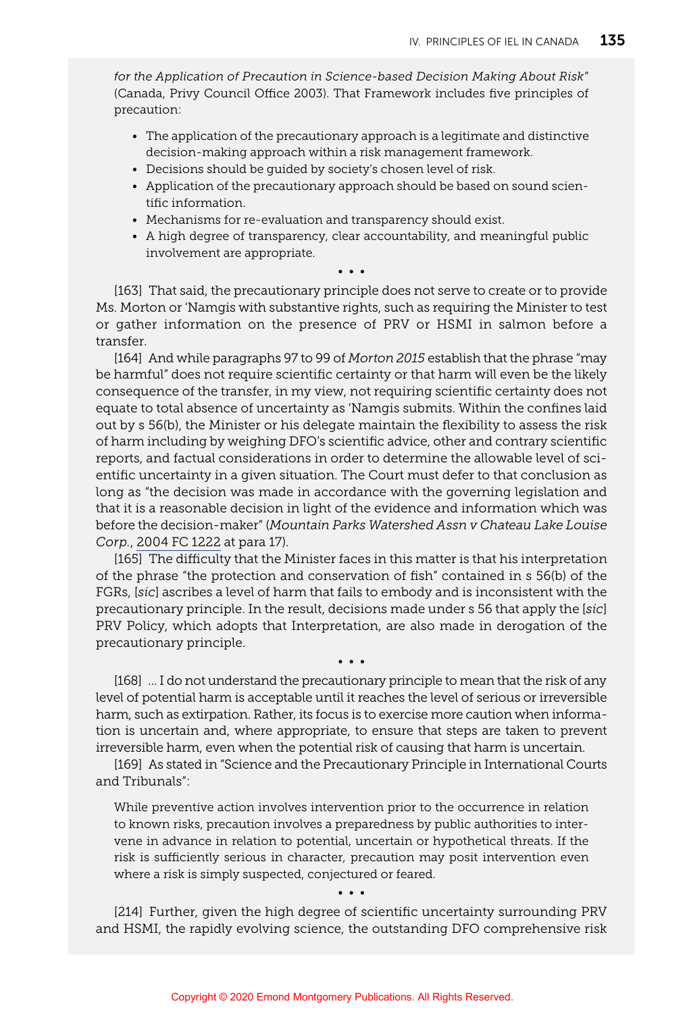*for the Application of Precaution in Science-based Decision Making About Risk*" (Canada, Privy Council Office 2003). That Framework includes five principles of precaution:

- The application of the precautionary approach is a legitimate and distinctive decision-making approach within a risk management framework.
- Decisions should be guided by society's chosen level of risk.
- Application of the precautionary approach should be based on sound scientific information.
- Mechanisms for re-evaluation and transparency should exist.
- A high degree of transparency, clear accountability, and meaningful public involvement are appropriate.

• • •

[163] That said, the precautionary principle does not serve to create or to provide Ms. Morton or 'Namgis with substantive rights, such as requiring the Minister to test or gather information on the presence of PRV or HSMI in salmon before a transfer.

[164] And while paragraphs 97 to 99 of *Morton 2015* establish that the phrase "may be harmful" does not require scientific certainty or that harm will even be the likely consequence of the transfer, in my view, not requiring scientific certainty does not equate to total absence of uncertainty as 'Namgis submits. Within the confines laid out by s 56(b), the Minister or his delegate maintain the flexibility to assess the risk of harm including by weighing DFO's scientific advice, other and contrary scientific reports, and factual considerations in order to determine the allowable level of scientific uncertainty in a given situation. The Court must defer to that conclusion as long as "the decision was made in accordance with the governing legislation and that it is a reasonable decision in light of the evidence and information which was before the decision-maker" (*Mountain Parks Watershed Assn v Chateau Lake Louise Corp.*, [2004 FC 1222](http://canlii.ca/t/1hvwm) at para 17).

[165] The difficulty that the Minister faces in this matter is that his interpretation of the phrase "the protection and conservation of fish" contained in s 56(b) of the FGRs, [*sic*] ascribes a level of harm that fails to embody and is inconsistent with the precautionary principle. In the result, decisions made under s 56 that apply the [*sic*] PRV Policy, which adopts that Interpretation, are also made in derogation of the precautionary principle.

[168] … I do not understand the precautionary principle to mean that the risk of any level of potential harm is acceptable until it reaches the level of serious or irreversible harm, such as extirpation. Rather, its focus is to exercise more caution when information is uncertain and, where appropriate, to ensure that steps are taken to prevent irreversible harm, even when the potential risk of causing that harm is uncertain.

• • •

[169] As stated in "Science and the Precautionary Principle in International Courts and Tribunals":

While preventive action involves intervention prior to the occurrence in relation to known risks, precaution involves a preparedness by public authorities to intervene in advance in relation to potential, uncertain or hypothetical threats. If the risk is sufficiently serious in character, precaution may posit intervention even where a risk is simply suspected, conjectured or feared.

• • •

[214] Further, given the high degree of scientific uncertainty surrounding PRV and HSMI, the rapidly evolving science, the outstanding DFO comprehensive risk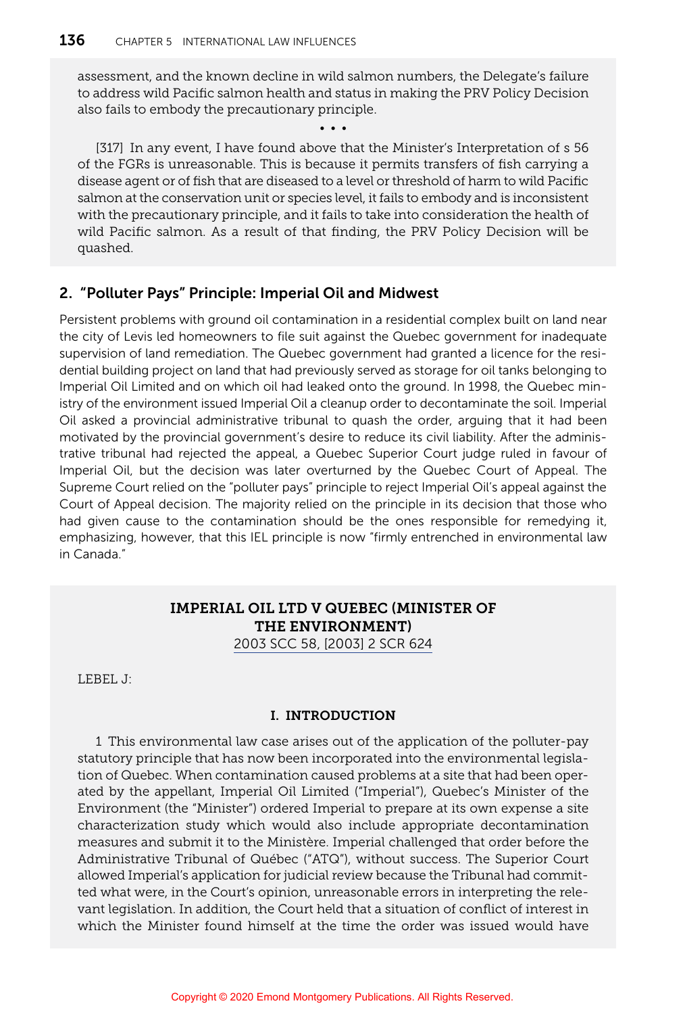assessment, and the known decline in wild salmon numbers, the Delegate's failure to address wild Pacific salmon health and status in making the PRV Policy Decision also fails to embody the precautionary principle.

• • •

[317] In any event, I have found above that the Minister's Interpretation of s 56 of the FGRs is unreasonable. This is because it permits transfers of fish carrying a disease agent or of fish that are diseased to a level or threshold of harm to wild Pacific salmon at the conservation unit or species level, it fails to embody and is inconsistent with the precautionary principle, and it fails to take into consideration the health of wild Pacific salmon. As a result of that finding, the PRV Policy Decision will be quashed.

# 2. "Polluter Pays" Principle: Imperial Oil and Midwest

Persistent problems with ground oil contamination in a residential complex built on land near the city of Levis led homeowners to file suit against the Quebec government for inadequate supervision of land remediation. The Quebec government had granted a licence for the residential building project on land that had previously served as storage for oil tanks belonging to Imperial Oil Limited and on which oil had leaked onto the ground. In 1998, the Quebec ministry of the environment issued Imperial Oil a cleanup order to decontaminate the soil. Imperial Oil asked a provincial administrative tribunal to quash the order, arguing that it had been motivated by the provincial government's desire to reduce its civil liability. After the administrative tribunal had rejected the appeal, a Quebec Superior Court judge ruled in favour of Imperial Oil, but the decision was later overturned by the Quebec Court of Appeal. The Supreme Court relied on the "polluter pays" principle to reject Imperial Oil's appeal against the Court of Appeal decision. The majority relied on the principle in its decision that those who had given cause to the contamination should be the ones responsible for remedying it, emphasizing, however, that this IEL principle is now "firmly entrenched in environmental law in Canada."

# IMPERIAL OIL LTD V QUEBEC (MINISTER OF THE ENVIRONMENT) [2003 SCC 58, \[2003\] 2 SCR 624](http://canlii.ca/t/1g3lw)

LEBEL J:

### I. INTRODUCTION

1 This environmental law case arises out of the application of the polluter-pay statutory principle that has now been incorporated into the environmental legislation of Quebec. When contamination caused problems at a site that had been operated by the appellant, Imperial Oil Limited ("Imperial"), Quebec's Minister of the Environment (the "Minister") ordered Imperial to prepare at its own expense a site characterization study which would also include appropriate decontamination measures and submit it to the Ministère. Imperial challenged that order before the Administrative Tribunal of Québec ("ATQ"), without success. The Superior Court allowed Imperial's application for judicial review because the Tribunal had committed what were, in the Court's opinion, unreasonable errors in interpreting the relevant legislation. In addition, the Court held that a situation of conflict of interest in which the Minister found himself at the time the order was issued would have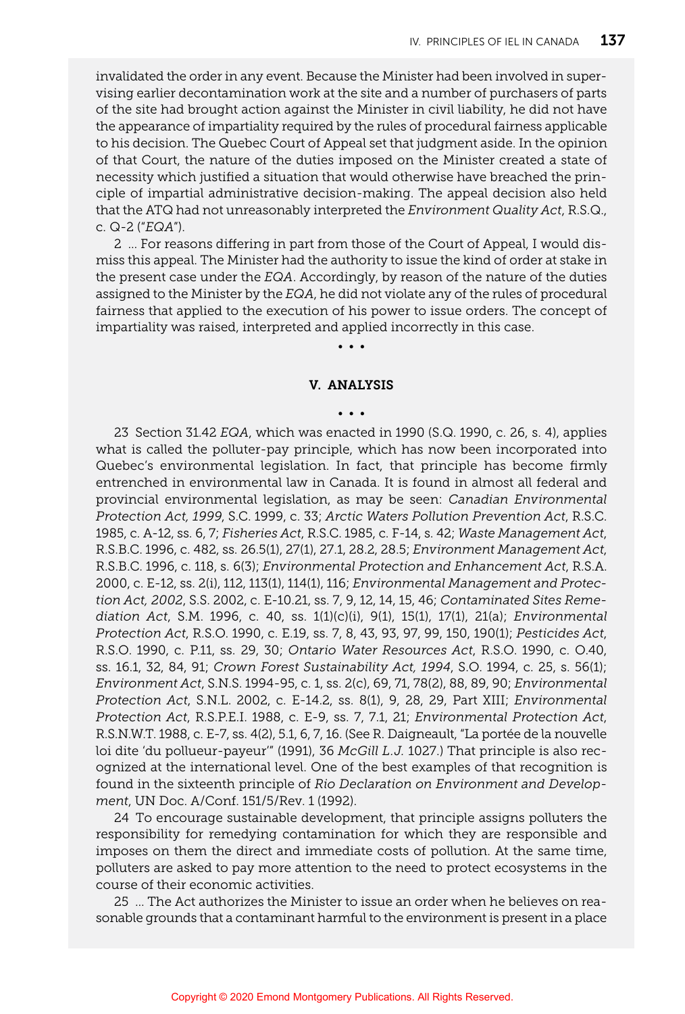invalidated the order in any event. Because the Minister had been involved in supervising earlier decontamination work at the site and a number of purchasers of parts of the site had brought action against the Minister in civil liability, he did not have the appearance of impartiality required by the rules of procedural fairness applicable to his decision. The Quebec Court of Appeal set that judgment aside. In the opinion of that Court, the nature of the duties imposed on the Minister created a state of necessity which justified a situation that would otherwise have breached the principle of impartial administrative decision-making. The appeal decision also held that the ATQ had not unreasonably interpreted the *Environment Quality Act*, R.S.Q., c. Q-2 ("*EQA*").

2 … For reasons differing in part from those of the Court of Appeal, I would dismiss this appeal. The Minister had the authority to issue the kind of order at stake in the present case under the *EQA*. Accordingly, by reason of the nature of the duties assigned to the Minister by the *EQA*, he did not violate any of the rules of procedural fairness that applied to the execution of his power to issue orders. The concept of impartiality was raised, interpreted and applied incorrectly in this case.

• • •

# V. ANALYSIS • • •

23 Section 31.42 *EQA*, which was enacted in 1990 (S.Q. 1990, c. 26, s. 4), applies what is called the polluter-pay principle, which has now been incorporated into Quebec's environmental legislation. In fact, that principle has become firmly entrenched in environmental law in Canada. It is found in almost all federal and provincial environmental legislation, as may be seen: *Canadian Environmental Protection Act, 1999*, S.C. 1999, c. 33; *Arctic Waters Pollution Prevention Act*, R.S.C. 1985, c. A-12, ss. 6, 7; *Fisheries Act*, R.S.C. 1985, c. F-14, s. 42; *Waste Management Act*, R.S.B.C. 1996, c. 482, ss. 26.5(1), 27(1), 27.1, 28.2, 28.5; *Environment Management Act*, R.S.B.C. 1996, c. 118, s. 6(3); *Environmental Protection and Enhancement Act*, R.S.A. 2000, c. E-12, ss. 2(i), 112, 113(1), 114(1), 116; *Environmental Management and Protection Act, 2002*, S.S. 2002, c. E-10.21, ss. 7, 9, 12, 14, 15, 46; *Contaminated Sites Remediation Act*, S.M. 1996, c. 40, ss. 1(1)(c)(i), 9(1), 15(1), 17(1), 21(a); *Environmental Protection Act*, R.S.O. 1990, c. E.19, ss. 7, 8, 43, 93, 97, 99, 150, 190(1); *Pesticides Act*, R.S.O. 1990, c. P.11, ss. 29, 30; *Ontario Water Resources Act*, R.S.O. 1990, c. O.40, ss. 16.1, 32, 84, 91; *Crown Forest Sustainability Act, 1994*, S.O. 1994, c. 25, s. 56(1); *Environment Act*, S.N.S. 1994-95, c. 1, ss. 2(c), 69, 71, 78(2), 88, 89, 90; *Environmental Protection Act*, S.N.L. 2002, c. E-14.2, ss. 8(1), 9, 28, 29, Part XIII; *Environmental Protection Act*, R.S.P.E.I. 1988, c. E-9, ss. 7, 7.1, 21; *Environmental Protection Act*, R.S.N.W.T. 1988, c. E-7, ss. 4(2), 5.1, 6, 7, 16. (See R. Daigneault, "La portée de la nouvelle loi dite 'du pollueur-payeur'" (1991), 36 *McGill L.J.* 1027.) That principle is also recognized at the international level. One of the best examples of that recognition is found in the sixteenth principle of *Rio Declaration on Environment and Development*, UN Doc. A/Conf. 151/5/Rev. 1 (1992).

24 To encourage sustainable development, that principle assigns polluters the responsibility for remedying contamination for which they are responsible and imposes on them the direct and immediate costs of pollution. At the same time, polluters are asked to pay more attention to the need to protect ecosystems in the course of their economic activities.

25 … The Act authorizes the Minister to issue an order when he believes on reasonable grounds that a contaminant harmful to the environment is present in a place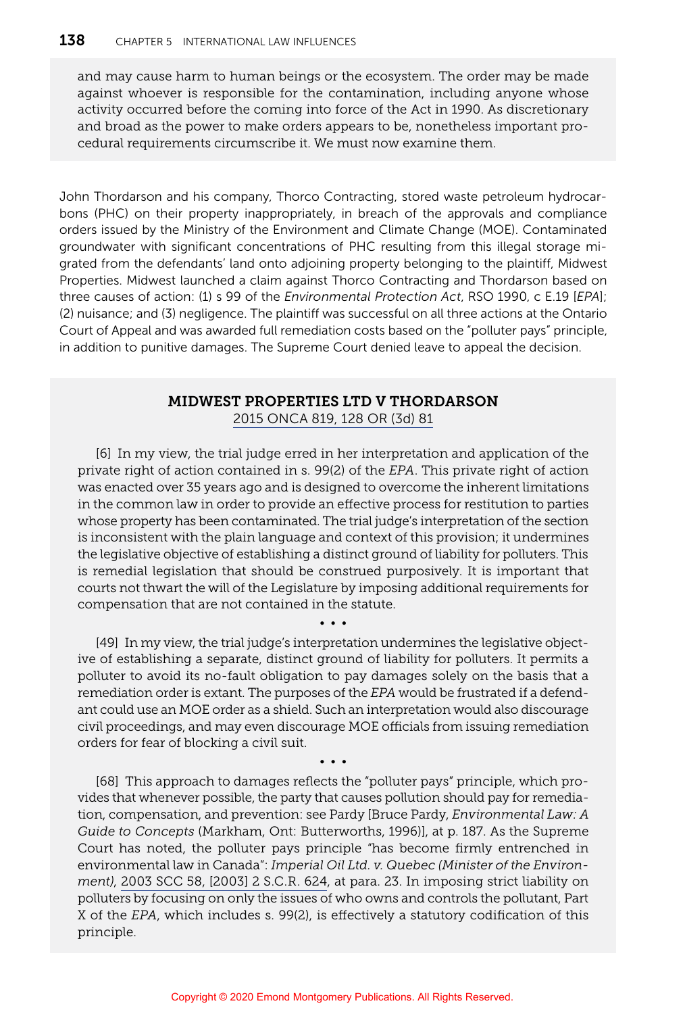and may cause harm to human beings or the ecosystem. The order may be made against whoever is responsible for the contamination, including anyone whose activity occurred before the coming into force of the Act in 1990. As discretionary and broad as the power to make orders appears to be, nonetheless important procedural requirements circumscribe it. We must now examine them.

John Thordarson and his company, Thorco Contracting, stored waste petroleum hydrocarbons (PHC) on their property inappropriately, in breach of the approvals and compliance orders issued by the Ministry of the Environment and Climate Change (MOE). Contaminated groundwater with significant concentrations of PHC resulting from this illegal storage mi grated from the defendants' land onto adjoining property belonging to the plaintiff, Midwest Properties. Midwest launched a claim against Thorco Contracting and Thordarson based on three causes of action: (1) s 99 of the *Environmental Protection Act*, RSO 1990, c E.19 [*EPA*]; (2) nuisance; and (3) negligence. The plaintiff was successful on all three actions at the Ontario Court of Appeal and was awarded full remediation costs based on the "polluter pays" principle, in addition to punitive damages. The Supreme Court denied leave to appeal the decision.

### MIDWEST PROPERTIES LTD V THORDARSON [2015 ONCA 819, 128 OR \(3d\) 81](http://canlii.ca/t/gm946)

[6] In my view, the trial judge erred in her interpretation and application of the private right of action contained in s. 99(2) of the *EPA*. This private right of action was enacted over 35 years ago and is designed to overcome the inherent limitations in the common law in order to provide an effective process for restitution to parties whose property has been contaminated. The trial judge's interpretation of the section is inconsistent with the plain language and context of this provision; it undermines the legislative objective of establishing a distinct ground of liability for polluters. This is remedial legislation that should be construed purposively. It is important that courts not thwart the will of the Legislature by imposing additional requirements for compensation that are not contained in the statute.

[49] In my view, the trial judge's interpretation undermines the legislative objective of establishing a separate, distinct ground of liability for polluters. It permits a polluter to avoid its no-fault obligation to pay damages solely on the basis that a remediation order is extant. The purposes of the *EPA* would be frustrated if a defendant could use an MOE order as a shield. Such an interpretation would also discourage civil proceedings, and may even discourage MOE officials from issuing remediation orders for fear of blocking a civil suit.

• • •

• • •

[68] This approach to damages reflects the "polluter pays" principle, which provides that whenever possible, the party that causes pollution should pay for remediation, compensation, and prevention: see Pardy [Bruce Pardy, *Environmental Law: A Guide to Concepts* (Markham, Ont: Butterworths, 1996)], at p. 187. As the Supreme Court has noted, the polluter pays principle "has become firmly entrenched in environmental law in Canada": *Imperial Oil Ltd. v. Quebec (Minister of the Environment)*, [2003 SCC 58, \[2003\] 2 S.C.R. 624](http://canlii.ca/t/1g3lw), at para. 23. In imposing strict liability on polluters by focusing on only the issues of who owns and controls the pollutant, Part X of the *EPA*, which includes s. 99(2), is effectively a statutory codification of this principle.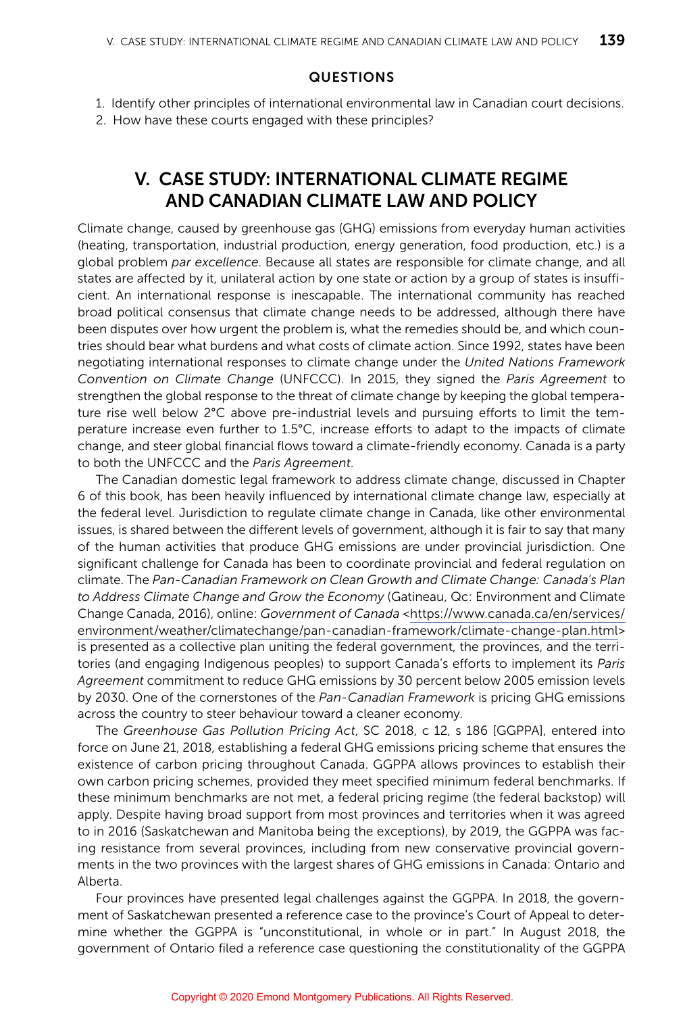#### **QUESTIONS**

- 1. Identify other principles of international environmental law in Canadian court decisions.
- 2. How have these courts engaged with these principles?

# V. CASE STUDY: INTERNATIONAL CLIMATE REGIME AND CANADIAN CLIMATE LAW AND POLICY

Climate change, caused by greenhouse gas (GHG) emissions from everyday human activities (heating, transportation, industrial production, energy generation, food production, etc.) is a global problem *par excellence*. Because all states are responsible for climate change, and all states are affected by it, unilateral action by one state or action by a group of states is insufficient. An international response is inescapable. The international community has reached broad political consensus that climate change needs to be addressed, although there have been disputes over how urgent the problem is, what the remedies should be, and which countries should bear what burdens and what costs of climate action. Since 1992, states have been negotiating international responses to climate change under the *United Nations Framework Convention on Climate Change* (UNFCCC). In 2015, they signed the *Paris Agreement* to strengthen the global response to the threat of climate change by keeping the global temperature rise well below 2°C above pre-industrial levels and pursuing efforts to limit the temperature increase even further to 1.5°C, increase efforts to adapt to the impacts of climate change, and steer global financial flows toward a climate-friendly economy. Canada is a party to both the UNFCCC and the *Paris Agreement*.

The Canadian domestic legal framework to address climate change, discussed in Chapter 6 of this book, has been heavily influenced by international climate change law, especially at the federal level. Jurisdiction to regulate climate change in Canada, like other environmental issues, is shared between the different levels of government, although it is fair to say that many of the human activities that produce GHG emissions are under provincial jurisdiction. One significant challenge for Canada has been to coordinate provincial and federal regulation on climate. The *Pan-Canadian Framework on Clean Growth and Climate Change: Canada's Plan to Address Climate Change and Grow the Economy* (Gatineau, Qc: Environment and Climate Change Canada, 2016), online: *Government of Canada* [<https://www.canada.ca/en/services/](https://www.canada.ca/en/services/environment/weather/climatechange/pan-canadian-framework/climate-change-plan.html) [environment/weather/climatechange/pan-canadian-framework/climate-change-plan.html](https://www.canada.ca/en/services/environment/weather/climatechange/pan-canadian-framework/climate-change-plan.html)> is presented as a collective plan uniting the federal government, the provinces, and the territories (and engaging Indigenous peoples) to support Canada's efforts to implement its *Paris Agreement* commitment to reduce GHG emissions by 30 percent below 2005 emission levels by 2030. One of the cornerstones of the *Pan-Canadian Framework* is pricing GHG emissions across the country to steer behaviour toward a cleaner economy.

The *Greenhouse Gas Pollution Pricing Act*, SC 2018, c 12, s 186 [GGPPA], entered into force on June 21, 2018, establishing a federal GHG emissions pricing scheme that ensures the existence of carbon pricing throughout Canada. GGPPA allows provinces to establish their own carbon pricing schemes, provided they meet specified minimum federal benchmarks. If these minimum benchmarks are not met, a federal pricing regime (the federal backstop) will apply. Despite having broad support from most provinces and territories when it was agreed to in 2016 (Saskatchewan and Manitoba being the exceptions), by 2019, the GGPPA was facing resistance from several provinces, including from new conservative provincial governments in the two provinces with the largest shares of GHG emissions in Canada: Ontario and Alberta.

Four provinces have presented legal challenges against the GGPPA. In 2018, the government of Saskatchewan presented a reference case to the province's Court of Appeal to determine whether the GGPPA is "unconstitutional, in whole or in part." In August 2018, the government of Ontario filed a reference case questioning the constitutionality of the GGPPA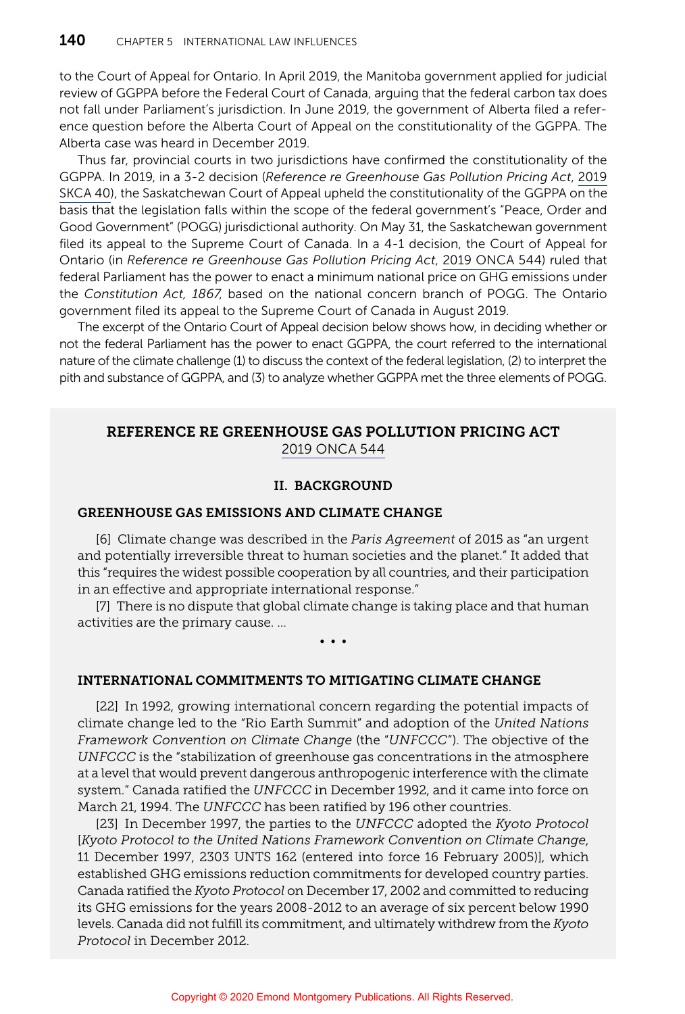to the Court of Appeal for Ontario. In April 2019, the Manitoba government applied for judicial review of GGPPA before the Federal Court of Canada, arguing that the federal carbon tax does not fall under Parliament's jurisdiction. In June 2019, the government of Alberta filed a reference question before the Alberta Court of Appeal on the constitutionality of the GGPPA. The Alberta case was heard in December 2019.

Thus far, provincial courts in two jurisdictions have confirmed the constitutionality of the GGPPA. In 2019, in a 3-2 decision (*Reference re Greenhouse Gas Pollution Pricing Act*, [2019](http://canlii.ca/t/j03gt) [SKCA 40\)](http://canlii.ca/t/j03gt), the Saskatchewan Court of Appeal upheld the constitutionality of the GGPPA on the basis that the legislation falls within the scope of the federal government's "Peace, Order and Good Government" (POGG) jurisdictional authority. On May 31, the Saskatchewan government filed its appeal to the Supreme Court of Canada. In a 4-1 decision, the Court of Appeal for Ontario (in *Reference re Greenhouse Gas Pollution Pricing Act*, [2019 ONCA 544](http://canlii.ca/t/j16w0)) ruled that federal Parliament has the power to enact a minimum national price on GHG emissions under the *Constitution Act, 1867*, based on the national concern branch of POGG. The Ontario government filed its appeal to the Supreme Court of Canada in August 2019.

The excerpt of the Ontario Court of Appeal decision below shows how, in deciding whether or not the federal Parliament has the power to enact GGPPA, the court referred to the international nature of the climate challenge (1) to discuss the context of the federal legislation, (2) to interpret the pith and substance of GGPPA, and (3) to analyze whether GGPPA met the three elements of POGG.

## REFERENCE RE GREENHOUSE GAS POLLUTION PRICING ACT [2019 ONCA 544](http://canlii.ca/t/j16w0)

#### II. BACKGROUND

#### GREENHOUSE GAS EMISSIONS AND CLIMATE CHANGE

[6] Climate change was described in the *Paris Agreement* of 2015 as "an urgent and potentially irreversible threat to human societies and the planet." It added that this "requires the widest possible cooperation by all countries, and their participation in an effective and appropriate international response."

[7] There is no dispute that global climate change is taking place and that human activities are the primary cause. …

• • •

#### INTERNATIONAL COMMITMENTS TO MITIGATING CLIMATE CHANGE

[22] In 1992, growing international concern regarding the potential impacts of climate change led to the "Rio Earth Summit" and adoption of the *United Nations Framework Convention on Climate Change* (the "*UNFCCC*"). The objective of the *UNFCCC* is the "stabilization of greenhouse gas concentrations in the atmosphere at a level that would prevent dangerous anthropogenic interference with the climate system." Canada ratified the *UNFCCC* in December 1992, and it came into force on March 21, 1994. The *UNFCCC* has been ratified by 196 other countries.

[23] In December 1997, the parties to the *UNFCCC* adopted the *Kyoto Protocol* [*Kyoto Protocol to the United Nations Framework Convention on Climate Change*, 11 December 1997, 2303 UNTS 162 (entered into force 16 February 2005)], which established GHG emissions reduction commitments for developed country parties. Canada ratified the *Kyoto Protocol* on December 17, 2002 and committed to reducing its GHG emissions for the years 2008-2012 to an average of six percent below 1990 levels. Canada did not fulfill its commitment, and ultimately withdrew from the *Kyoto Protocol* in December 2012.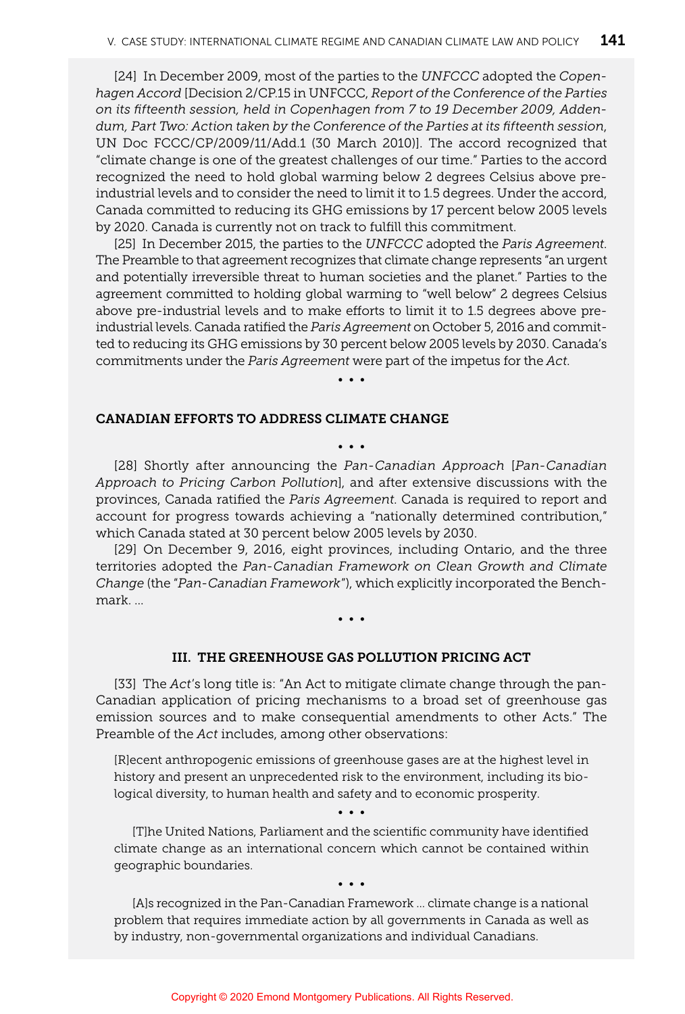[24] In December 2009, most of the parties to the *UNFCCC* adopted the *Copenhagen Accord* [Decision 2/CP.15 in UNFCCC, *Report of the Conference of the Parties on its fifteenth session, held in Copenhagen from 7 to 19 December 2009, Addendum, Part Two: Action taken by the Conference of the Parties at its fifteenth session*, UN Doc FCCC/CP/2009/11/Add.1 (30 March 2010)]. The accord recognized that "climate change is one of the greatest challenges of our time." Parties to the accord recognized the need to hold global warming below 2 degrees Celsius above preindustrial levels and to consider the need to limit it to 1.5 degrees. Under the accord, Canada committed to reducing its GHG emissions by 17 percent below 2005 levels by 2020. Canada is currently not on track to fulfill this commitment.

[25] In December 2015, the parties to the *UNFCCC* adopted the *Paris Agreement*. The Preamble to that agreement recognizes that climate change represents "an urgent and potentially irreversible threat to human societies and the planet." Parties to the agreement committed to holding global warming to "well below" 2 degrees Celsius above pre-industrial levels and to make efforts to limit it to 1.5 degrees above preindustrial levels. Canada ratified the *Paris Agreement* on October 5, 2016 and committed to reducing its GHG emissions by 30 percent below 2005 levels by 2030. Canada's commitments under the *Paris Agreement* were part of the impetus for the *Act*.

• • •

#### CANADIAN EFFORTS TO ADDRESS CLIMATE CHANGE

[28] Shortly after announcing the *Pan-Canadian Approach* [*Pan-Canadian Approach to Pricing Carbon Pollution*], and after extensive discussions with the provinces, Canada ratified the *Paris Agreement*. Canada is required to report and account for progress towards achieving a "nationally determined contribution," which Canada stated at 30 percent below 2005 levels by 2030.

• • •

[29] On December 9, 2016, eight provinces, including Ontario, and the three territories adopted the *Pan-Canadian Framework on Clean Growth and Climate Change* (the "*Pan-Canadian Framework*"), which explicitly incorporated the Benchmark. …

• • •

#### III. THE GREENHOUSE GAS POLLUTION PRICING ACT

[33] The *Act*'s long title is: "An Act to mitigate climate change through the pan-Canadian application of pricing mechanisms to a broad set of greenhouse gas emission sources and to make consequential amendments to other Acts." The Preamble of the *Act* includes, among other observations:

[R]ecent anthropogenic emissions of greenhouse gases are at the highest level in history and present an unprecedented risk to the environment, including its biological diversity, to human health and safety and to economic prosperity.

• • •

[T]he United Nations, Parliament and the scientific community have identified climate change as an international concern which cannot be contained within geographic boundaries.

• • •

[A]s recognized in the Pan-Canadian Framework … climate change is a national problem that requires immediate action by all governments in Canada as well as by industry, non-governmental organizations and individual Canadians.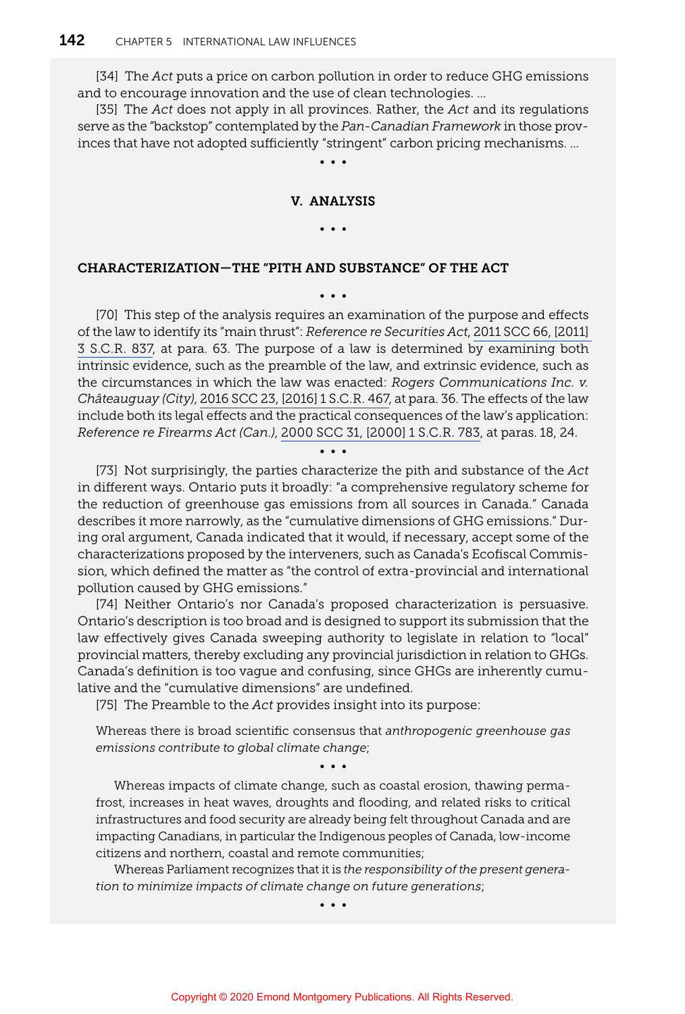[34] The *Act* puts a price on carbon pollution in order to reduce GHG emissions and to encourage innovation and the use of clean technologies. …

[35] The *Act* does not apply in all provinces. Rather, the *Act* and its regulations serve as the "backstop" contemplated by the *Pan-Canadian Framework* in those provinces that have not adopted sufficiently "stringent" carbon pricing mechanisms. …

• • •

#### V. ANALYSIS

• • •

#### CHARACTERIZATION—THE "PITH AND SUBSTANCE" OF THE ACT

• • •

[70] This step of the analysis requires an examination of the purpose and effects of the law to identify its "main thrust": *Reference re Securities Act*, [2011 SCC 66, \[2011\]](http://canlii.ca/t/fpdwb)  [3 S.C.R. 837](http://canlii.ca/t/fpdwb), at para. 63. The purpose of a law is determined by examining both intrinsic evidence, such as the preamble of the law, and extrinsic evidence, such as the circumstances in which the law was enacted: *Rogers Communications Inc. v. Châteauguay (City)*, [2016 SCC 23, \[2016\] 1 S.C.R. 467,](http://canlii.ca/t/gs3l3) at para. 36. The effects of the law include both its legal effects and the practical consequences of the law's application: *Reference re Firearms Act (Can.)*, [2000 SCC 31, \[2000\] 1 S.C.R. 783,](http://canlii.ca/t/5251) at paras. 18, 24.

• • •

[73] Not surprisingly, the parties characterize the pith and substance of the *Act*  in different ways. Ontario puts it broadly: "a comprehensive regulatory scheme for the reduction of greenhouse gas emissions from all sources in Canada." Canada describes it more narrowly, as the "cumulative dimensions of GHG emissions." During oral argument, Canada indicated that it would, if necessary, accept some of the characterizations proposed by the interveners, such as Canada's Ecofiscal Commission, which defined the matter as "the control of extra-provincial and international pollution caused by GHG emissions."

[74] Neither Ontario's nor Canada's proposed characterization is persuasive. Ontario's description is too broad and is designed to support its submission that the law effectively gives Canada sweeping authority to legislate in relation to "local" provincial matters, thereby excluding any provincial jurisdiction in relation to GHGs. Canada's definition is too vague and confusing, since GHGs are inherently cumulative and the "cumulative dimensions" are undefined.

[75] The Preamble to the *Act* provides insight into its purpose:

Whereas there is broad scientific consensus that *anthropogenic greenhouse gas emissions contribute to global climate change*;

• • •

Whereas impacts of climate change, such as coastal erosion, thawing permafrost, increases in heat waves, droughts and flooding, and related risks to critical infrastructures and food security are already being felt throughout Canada and are impacting Canadians, in particular the Indigenous peoples of Canada, low-income citizens and northern, coastal and remote communities;

Whereas Parliament recognizes that it is *the responsibility of the present generation to minimize impacts of climate change on future generations*;

• • •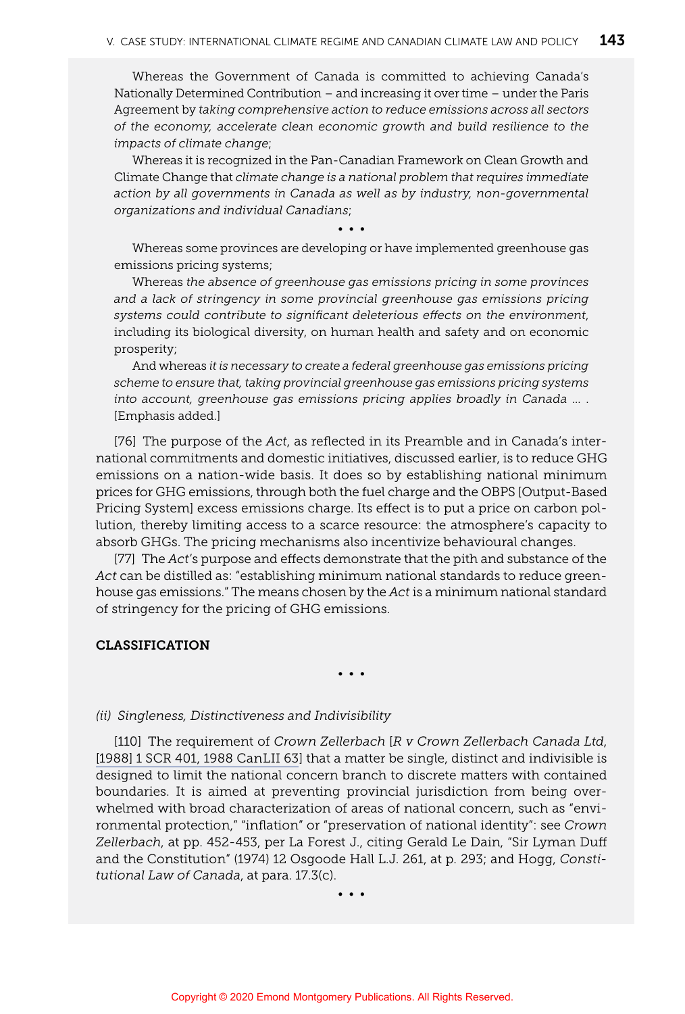Whereas the Government of Canada is committed to achieving Canada's Nationally Determined Contribution – and increasing it over time – under the Paris Agreement by *taking comprehensive action to reduce emissions across all sectors of the economy, accelerate clean economic growth and build resilience to the impacts of climate change*;

Whereas it is recognized in the Pan-Canadian Framework on Clean Growth and Climate Change that *climate change is a national problem that requires immediate action by all governments in Canada as well as by industry, non-governmental organizations and individual Canadians*;

• • •

Whereas some provinces are developing or have implemented greenhouse gas emissions pricing systems;

Whereas *the absence of greenhouse gas emissions pricing in some provinces and a lack of stringency in some provincial greenhouse gas emissions pricing systems could contribute to significant deleterious effects on the environment*, including its biological diversity, on human health and safety and on economic prosperity;

And whereas *it is necessary to create a federal greenhouse gas emissions pricing scheme to ensure that, taking provincial greenhouse gas emissions pricing systems into account, greenhouse gas emissions pricing applies broadly in Canada* … . [Emphasis added.]

[76] The purpose of the *Act*, as reflected in its Preamble and in Canada's international commitments and domestic initiatives, discussed earlier, is to reduce GHG emissions on a nation-wide basis. It does so by establishing national minimum prices for GHG emissions, through both the fuel charge and the OBPS [Output-Based Pricing System] excess emissions charge. Its effect is to put a price on carbon pollution, thereby limiting access to a scarce resource: the atmosphere's capacity to absorb GHGs. The pricing mechanisms also incentivize behavioural changes.

[77] The *Act*'s purpose and effects demonstrate that the pith and substance of the *Act* can be distilled as: "establishing minimum national standards to reduce greenhouse gas emissions." The means chosen by the *Act* is a minimum national standard of stringency for the pricing of GHG emissions.

#### CLASSIFICATION

• • •

#### *(ii) Singleness, Distinctiveness and Indivisibility*

[110] The requirement of *Crown Zellerbach* [*R v Crown Zellerbach Canada Ltd*, [\[1988\] 1 SCR 401, 1988 CanLII 63](http://canlii.ca/t/1fthr)] that a matter be single, distinct and indivisible is designed to limit the national concern branch to discrete matters with contained boundaries. It is aimed at preventing provincial jurisdiction from being overwhelmed with broad characterization of areas of national concern, such as "environmental protection," "inflation" or "preservation of national identity": see *Crown Zellerbach*, at pp. 452-453, per La Forest J., citing Gerald Le Dain, "Sir Lyman Duff and the Constitution" (1974) 12 Osgoode Hall L.J. 261, at p. 293; and Hogg, *Constitutional Law of Canada*, at para. 17.3(c).

• • •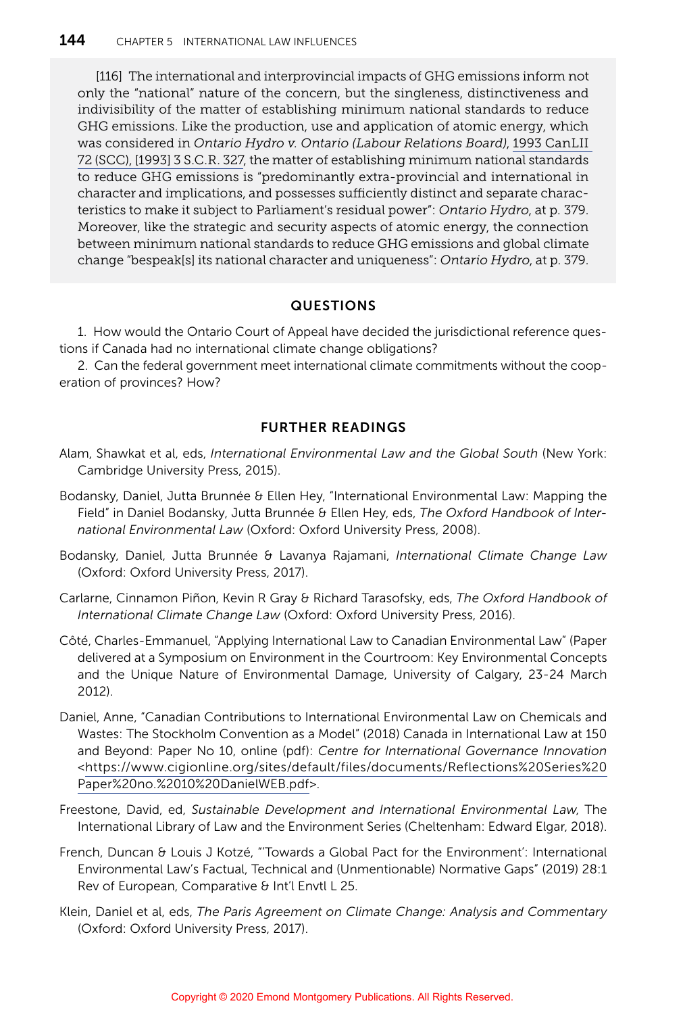[116] The international and interprovincial impacts of GHG emissions inform not only the "national" nature of the concern, but the singleness, distinctiveness and indivisibility of the matter of establishing minimum national standards to reduce GHG emissions. Like the production, use and application of atomic energy, which was considered in *Ontario Hydro v. Ontario (Labour Relations Board)*, [1993 CanLII](http://canlii.ca/t/1fs10)  [72 \(SCC\), \[1993\] 3 S.C.R. 327](http://canlii.ca/t/1fs10), the matter of establishing minimum national standards to reduce GHG emissions is "predominantly extra-provincial and international in character and implications, and possesses sufficiently distinct and separate characteristics to make it subject to Parliament's residual power": *Ontario Hydro*, at p. 379. Moreover, like the strategic and security aspects of atomic energy, the connection between minimum national standards to reduce GHG emissions and global climate change "bespeak[s] its national character and uniqueness": *Ontario Hydro*, at p. 379.

# **QUESTIONS**

1. How would the Ontario Court of Appeal have decided the jurisdictional reference questions if Canada had no international climate change obligations?

2. Can the federal government meet international climate commitments without the cooperation of provinces? How?

### FURTHER READINGS

- Alam, Shawkat et al, eds, *International Environmental Law and the Global South* (New York: Cambridge University Press, 2015).
- Bodansky, Daniel, Jutta Brunnée & Ellen Hey, "International Environmental Law: Mapping the Field" in Daniel Bodansky, Jutta Brunnée & Ellen Hey, eds, *The Oxford Handbook of International Environmental Law* (Oxford: Oxford University Press, 2008).
- Bodansky, Daniel, Jutta Brunnée & Lavanya Rajamani, *International Climate Change Law* (Oxford: Oxford University Press, 2017).
- Carlarne, Cinnamon Piñon, Kevin R Gray & Richard Tarasofsky, eds, *The Oxford Handbook of International Climate Change Law* (Oxford: Oxford University Press, 2016).
- Côté, Charles-Emmanuel, "Applying International Law to Canadian Environmental Law" (Paper delivered at a Symposium on Environment in the Courtroom: Key Environmental Concepts and the Unique Nature of Environmental Damage, University of Calgary, 23-24 March 2012).
- Daniel, Anne, "Canadian Contributions to International Environmental Law on Chemicals and Wastes: The Stockholm Convention as a Model" (2018) Canada in International Law at 150 and Beyond: Paper No 10, online (pdf): *Centre for International Governance Innovation* <[https://www.cigionline.org/sites/default/files/documents/Reflections%20Series%20](https://www.cigionline.org/sites/default/files/documents/Reflections Series Paper no. 10 DanielWEB.pdf) [Paper%20no.%2010%20DanielWEB.pdf](https://www.cigionline.org/sites/default/files/documents/Reflections Series Paper no. 10 DanielWEB.pdf)>.
- Freestone, David, ed, *Sustainable Development and International Environmental Law*, The International Library of Law and the Environment Series (Cheltenham: Edward Elgar, 2018).
- French, Duncan & Louis J Kotzé, "'Towards a Global Pact for the Environment': International Environmental Law's Factual, Technical and (Unmentionable) Normative Gaps" (2019) 28:1 Rev of European, Comparative & Int'l Envtl L 25.
- Klein, Daniel et al, eds, *The Paris Agreement on Climate Change: Analysis and Commentary* (Oxford: Oxford University Press, 2017).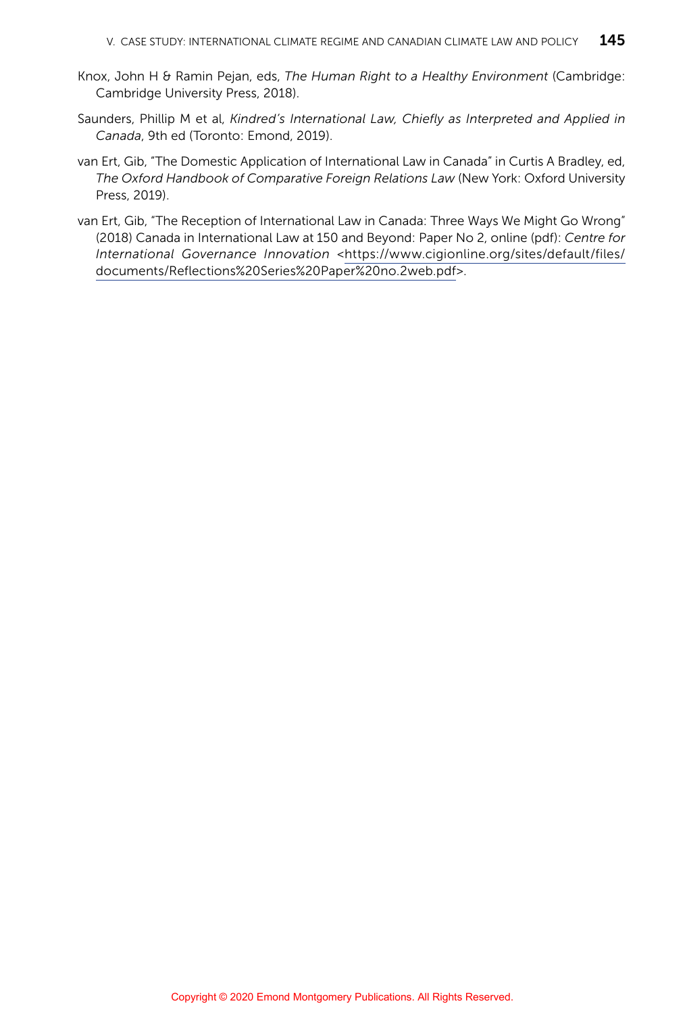- Knox, John H & Ramin Pejan, eds, *The Human Right to a Healthy Environment* (Cambridge: Cambridge University Press, 2018).
- Saunders, Phillip M et al, *Kindred's International Law, Chiefly as Interpreted and Applied in Canada*, 9th ed (Toronto: Emond, 2019).
- van Ert, Gib, "The Domestic Application of International Law in Canada" in Curtis A Bradley, ed, *The Oxford Handbook of Comparative Foreign Relations Law* (New York: Oxford University Press, 2019).
- van Ert, Gib, "The Reception of International Law in Canada: Three Ways We Might Go Wrong" (2018) Canada in International Law at 150 and Beyond: Paper No 2, online (pdf): *Centre for*  International Governance Innovation <[https://www.cigionline.org/sites/default/files/](https://www.cigionline.org/sites/default/files/documents/Reflections Series Paper no.2web.pdf) [documents/Reflections%20Series%20Paper%20no.2web.pdf>](https://www.cigionline.org/sites/default/files/documents/Reflections Series Paper no.2web.pdf).